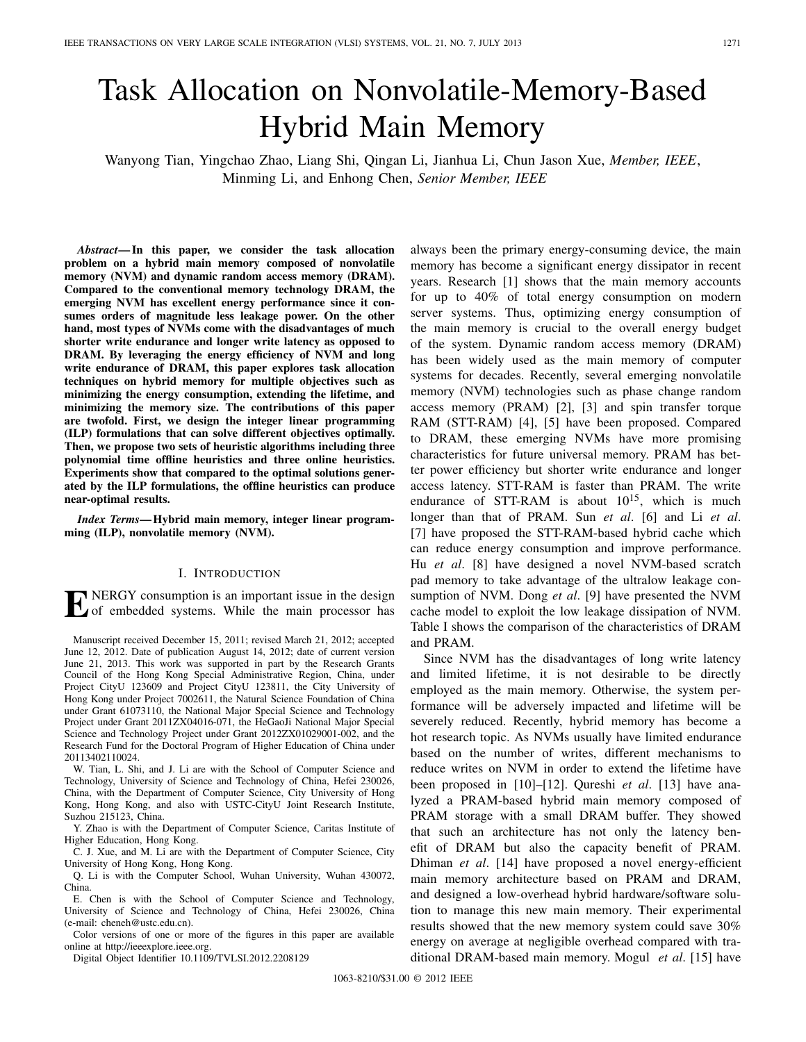# Task Allocation on Nonvolatile-Memory-Based Hybrid Main Memory

Wanyong Tian, Yingchao Zhao, Liang Shi, Qingan Li, Jianhua Li, Chun Jason Xue, *Member, IEEE*, Minming Li, and Enhong Chen, *Senior Member, IEEE*

*Abstract***— In this paper, we consider the task allocation problem on a hybrid main memory composed of nonvolatile memory (NVM) and dynamic random access memory (DRAM). Compared to the conventional memory technology DRAM, the emerging NVM has excellent energy performance since it consumes orders of magnitude less leakage power. On the other hand, most types of NVMs come with the disadvantages of much shorter write endurance and longer write latency as opposed to DRAM. By leveraging the energy efficiency of NVM and long write endurance of DRAM, this paper explores task allocation techniques on hybrid memory for multiple objectives such as minimizing the energy consumption, extending the lifetime, and minimizing the memory size. The contributions of this paper are twofold. First, we design the integer linear programming (ILP) formulations that can solve different objectives optimally. Then, we propose two sets of heuristic algorithms including three polynomial time offline heuristics and three online heuristics. Experiments show that compared to the optimal solutions generated by the ILP formulations, the offline heuristics can produce near-optimal results.**

*Index Terms***— Hybrid main memory, integer linear programming (ILP), nonvolatile memory (NVM).**

# I. INTRODUCTION

**E**NERGY consumption is an important issue in the design of embedded systems. While the main processor has

Manuscript received December 15, 2011; revised March 21, 2012; accepted June 12, 2012. Date of publication August 14, 2012; date of current version June 21, 2013. This work was supported in part by the Research Grants Council of the Hong Kong Special Administrative Region, China, under Project CityU 123609 and Project CityU 123811, the City University of Hong Kong under Project 7002611, the Natural Science Foundation of China under Grant 61073110, the National Major Special Science and Technology Project under Grant 2011ZX04016-071, the HeGaoJi National Major Special Science and Technology Project under Grant 2012ZX01029001-002, and the Research Fund for the Doctoral Program of Higher Education of China under 20113402110024.

W. Tian, L. Shi, and J. Li are with the School of Computer Science and Technology, University of Science and Technology of China, Hefei 230026, China, with the Department of Computer Science, City University of Hong Kong, Hong Kong, and also with USTC-CityU Joint Research Institute, Suzhou 215123, China.

Y. Zhao is with the Department of Computer Science, Caritas Institute of Higher Education, Hong Kong.

C. J. Xue, and M. Li are with the Department of Computer Science, City University of Hong Kong, Hong Kong.

Q. Li is with the Computer School, Wuhan University, Wuhan 430072, China.

E. Chen is with the School of Computer Science and Technology, University of Science and Technology of China, Hefei 230026, China (e-mail: cheneh@ustc.edu.cn).

Color versions of one or more of the figures in this paper are available online at http://ieeexplore.ieee.org.

Digital Object Identifier 10.1109/TVLSI.2012.2208129

always been the primary energy-consuming device, the main memory has become a significant energy dissipator in recent years. Research [1] shows that the main memory accounts for up to 40% of total energy consumption on modern server systems. Thus, optimizing energy consumption of the main memory is crucial to the overall energy budget of the system. Dynamic random access memory (DRAM) has been widely used as the main memory of computer systems for decades. Recently, several emerging nonvolatile memory (NVM) technologies such as phase change random access memory (PRAM) [2], [3] and spin transfer torque RAM (STT-RAM) [4], [5] have been proposed. Compared to DRAM, these emerging NVMs have more promising characteristics for future universal memory. PRAM has better power efficiency but shorter write endurance and longer access latency. STT-RAM is faster than PRAM. The write endurance of STT-RAM is about  $10^{15}$ , which is much longer than that of PRAM. Sun *et al*. [6] and Li *et al*. [7] have proposed the STT-RAM-based hybrid cache which can reduce energy consumption and improve performance. Hu *et al*. [8] have designed a novel NVM-based scratch pad memory to take advantage of the ultralow leakage consumption of NVM. Dong *et al*. [9] have presented the NVM cache model to exploit the low leakage dissipation of NVM. Table I shows the comparison of the characteristics of DRAM and PRAM.

Since NVM has the disadvantages of long write latency and limited lifetime, it is not desirable to be directly employed as the main memory. Otherwise, the system performance will be adversely impacted and lifetime will be severely reduced. Recently, hybrid memory has become a hot research topic. As NVMs usually have limited endurance based on the number of writes, different mechanisms to reduce writes on NVM in order to extend the lifetime have been proposed in [10]–[12]. Qureshi *et al*. [13] have analyzed a PRAM-based hybrid main memory composed of PRAM storage with a small DRAM buffer. They showed that such an architecture has not only the latency benefit of DRAM but also the capacity benefit of PRAM. Dhiman *et al*. [14] have proposed a novel energy-efficient main memory architecture based on PRAM and DRAM, and designed a low-overhead hybrid hardware/software solution to manage this new main memory. Their experimental results showed that the new memory system could save 30% energy on average at negligible overhead compared with traditional DRAM-based main memory. Mogul *et al*. [15] have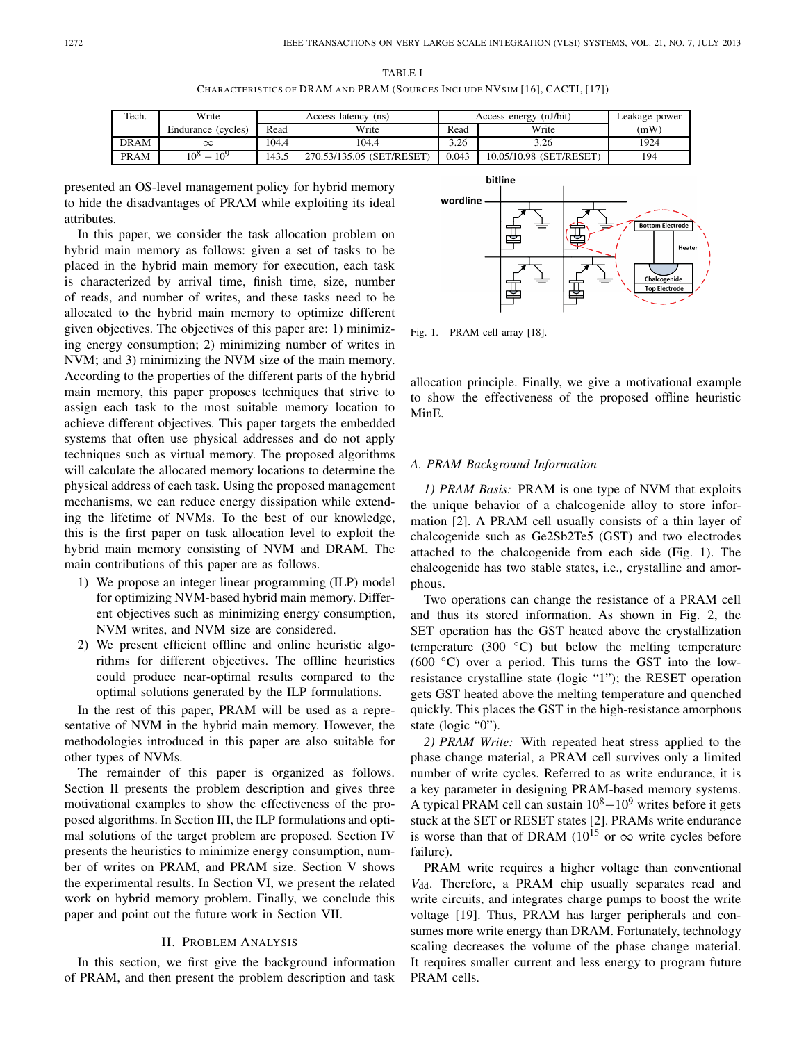| TABLE I                                                                    |  |
|----------------------------------------------------------------------------|--|
| CHARACTERISTICS OF DRAM AND PRAM (SOURCES INCLUDE NVSIM [16], CACTI, [17]) |  |

| Tech.       | Write                |      | Access latency (ns)       |       | Access energy (nJ/bit)  | Leakage power |
|-------------|----------------------|------|---------------------------|-------|-------------------------|---------------|
|             | Endurance (cycles)   | Read | Write                     | Read  | Write                   | (mW)          |
| <b>DRAM</b> |                      | 04.4 | 104.4                     | 3.26  | 3.26                    | 1924          |
| PRAM        | $10^{5}$<br>ι∩δ<br>_ | 43.5 | 270.53/135.05 (SET/RESET) | 0.043 | 10.05/10.98 (SET/RESET) | 194           |

presented an OS-level management policy for hybrid memory to hide the disadvantages of PRAM while exploiting its ideal attributes.

In this paper, we consider the task allocation problem on hybrid main memory as follows: given a set of tasks to be placed in the hybrid main memory for execution, each task is characterized by arrival time, finish time, size, number of reads, and number of writes, and these tasks need to be allocated to the hybrid main memory to optimize different given objectives. The objectives of this paper are: 1) minimizing energy consumption; 2) minimizing number of writes in NVM; and 3) minimizing the NVM size of the main memory. According to the properties of the different parts of the hybrid main memory, this paper proposes techniques that strive to assign each task to the most suitable memory location to achieve different objectives. This paper targets the embedded systems that often use physical addresses and do not apply techniques such as virtual memory. The proposed algorithms will calculate the allocated memory locations to determine the physical address of each task. Using the proposed management mechanisms, we can reduce energy dissipation while extending the lifetime of NVMs. To the best of our knowledge, this is the first paper on task allocation level to exploit the hybrid main memory consisting of NVM and DRAM. The main contributions of this paper are as follows.

- 1) We propose an integer linear programming (ILP) model for optimizing NVM-based hybrid main memory. Different objectives such as minimizing energy consumption, NVM writes, and NVM size are considered.
- 2) We present efficient offline and online heuristic algorithms for different objectives. The offline heuristics could produce near-optimal results compared to the optimal solutions generated by the ILP formulations.

In the rest of this paper, PRAM will be used as a representative of NVM in the hybrid main memory. However, the methodologies introduced in this paper are also suitable for other types of NVMs.

The remainder of this paper is organized as follows. Section II presents the problem description and gives three motivational examples to show the effectiveness of the proposed algorithms. In Section III, the ILP formulations and optimal solutions of the target problem are proposed. Section IV presents the heuristics to minimize energy consumption, number of writes on PRAM, and PRAM size. Section V shows the experimental results. In Section VI, we present the related work on hybrid memory problem. Finally, we conclude this paper and point out the future work in Section VII.

# II. PROBLEM ANALYSIS

In this section, we first give the background information of PRAM, and then present the problem description and task



Fig. 1. PRAM cell array [18].

allocation principle. Finally, we give a motivational example to show the effectiveness of the proposed offline heuristic MinE.

#### *A. PRAM Background Information*

*1) PRAM Basis:* PRAM is one type of NVM that exploits the unique behavior of a chalcogenide alloy to store information [2]. A PRAM cell usually consists of a thin layer of chalcogenide such as Ge2Sb2Te5 (GST) and two electrodes attached to the chalcogenide from each side (Fig. 1). The chalcogenide has two stable states, i.e., crystalline and amorphous.

Two operations can change the resistance of a PRAM cell and thus its stored information. As shown in Fig. 2, the SET operation has the GST heated above the crystallization temperature (300 $\degree$ C) but below the melting temperature  $(600 \degree C)$  over a period. This turns the GST into the lowresistance crystalline state (logic "1"); the RESET operation gets GST heated above the melting temperature and quenched quickly. This places the GST in the high-resistance amorphous state (logic "0").

*2) PRAM Write:* With repeated heat stress applied to the phase change material, a PRAM cell survives only a limited number of write cycles. Referred to as write endurance, it is a key parameter in designing PRAM-based memory systems. A typical PRAM cell can sustain  $10^8-10^9$  writes before it gets stuck at the SET or RESET states [2]. PRAMs write endurance is worse than that of DRAM ( $10^{15}$  or  $\infty$  write cycles before failure).

PRAM write requires a higher voltage than conventional *V*dd. Therefore, a PRAM chip usually separates read and write circuits, and integrates charge pumps to boost the write voltage [19]. Thus, PRAM has larger peripherals and consumes more write energy than DRAM. Fortunately, technology scaling decreases the volume of the phase change material. It requires smaller current and less energy to program future PRAM cells.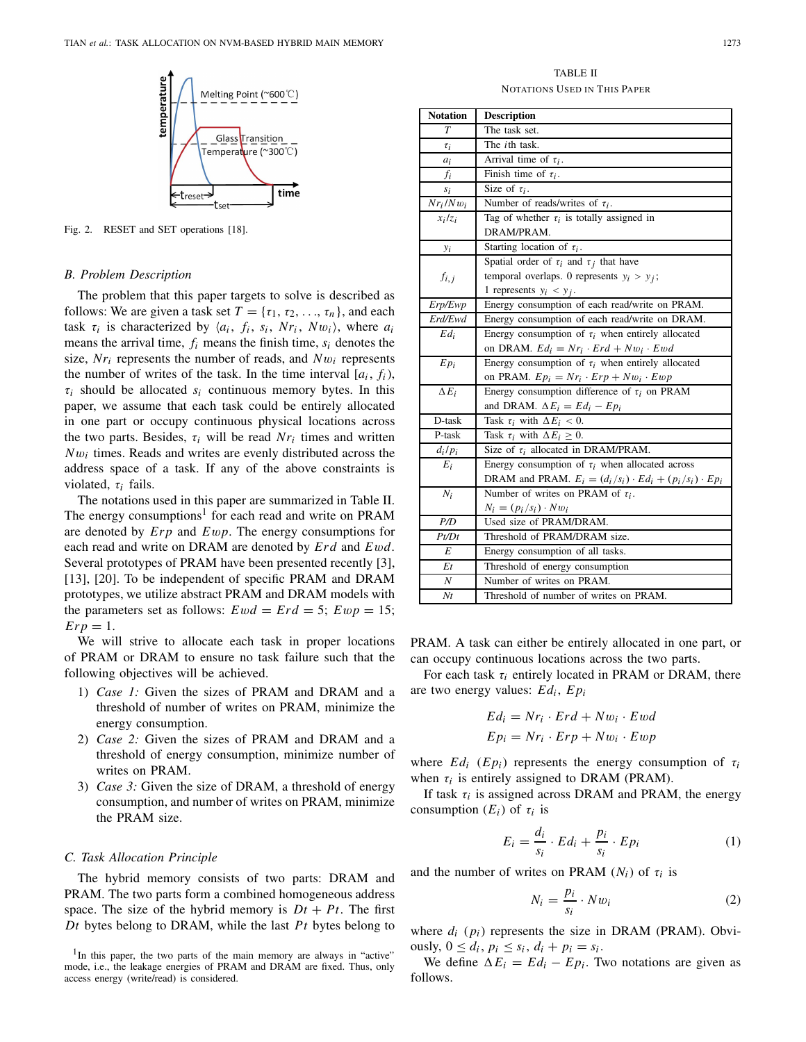

Fig. 2. RESET and SET operations [18].

#### *B. Problem Description*

The problem that this paper targets to solve is described as follows: We are given a task set  $T = \{\tau_1, \tau_2, \ldots, \tau_n\}$ , and each task  $\tau_i$  is characterized by  $\langle a_i, f_i, s_i, Nr_i, Now_i \rangle$ , where  $a_i$ means the arrival time, *fi* means the finish time, *si* denotes the size,  $Nr_i$  represents the number of reads, and  $Nw_i$  represents the number of writes of the task. In the time interval  $[a_i, f_i)$ ,  $\tau_i$  should be allocated  $s_i$  continuous memory bytes. In this paper, we assume that each task could be entirely allocated in one part or occupy continuous physical locations across the two parts. Besides,  $\tau_i$  will be read  $Nr_i$  times and written  $Nw_i$  times. Reads and writes are evenly distributed across the address space of a task. If any of the above constraints is violated, τ*i* fails.

The notations used in this paper are summarized in Table II. The energy consumptions<sup>1</sup> for each read and write on PRAM are denoted by *Erp* and *E*w*p*. The energy consumptions for each read and write on DRAM are denoted by *Erd* and *E*w*d*. Several prototypes of PRAM have been presented recently [3], [13], [20]. To be independent of specific PRAM and DRAM prototypes, we utilize abstract PRAM and DRAM models with the parameters set as follows:  $Ewd = Erd = 5$ ;  $Ewp = 15$ ;  $Erp=1$ .

We will strive to allocate each task in proper locations of PRAM or DRAM to ensure no task failure such that the following objectives will be achieved.

- 1) *Case 1:* Given the sizes of PRAM and DRAM and a threshold of number of writes on PRAM, minimize the energy consumption.
- 2) *Case 2:* Given the sizes of PRAM and DRAM and a threshold of energy consumption, minimize number of writes on PRAM.
- 3) *Case 3:* Given the size of DRAM, a threshold of energy consumption, and number of writes on PRAM, minimize the PRAM size.

#### *C. Task Allocation Principle*

The hybrid memory consists of two parts: DRAM and PRAM. The two parts form a combined homogeneous address space. The size of the hybrid memory is  $Dt + Pt$ . The first *Dt* bytes belong to DRAM, while the last *Pt* bytes belong to

TABLE II NOTATIONS USED IN THIS PAPER

| <b>Notation</b> | Description                                                        |
|-----------------|--------------------------------------------------------------------|
| $\overline{T}$  | The task set.                                                      |
| $\tau_i$        | The <i>i</i> th task.                                              |
| $a_i$           | Arrival time of $\tau_i$ .                                         |
| $f_i$           | Finish time of $\tau_i$ .                                          |
| $s_i$           | Size of $\tau_i$ .                                                 |
| $Nr_i/Nw_i$     | Number of reads/writes of $\tau_i$ .                               |
| $x_i/z_i$       | Tag of whether $\tau_i$ is totally assigned in                     |
|                 | DRAM/PRAM.                                                         |
| $y_i$           | Starting location of $\tau_i$ .                                    |
|                 | Spatial order of $\tau_i$ and $\tau_j$ that have                   |
| $f_{i,i}$       | temporal overlaps. 0 represents $y_i > y_j$ ;                      |
|                 | 1 represents $y_i \leq y_j$ .                                      |
| Erp/Ewp         | Energy consumption of each read/write on PRAM.                     |
| Erd/Ewd         | Energy consumption of each read/write on DRAM.                     |
| $Ed_i$          | Energy consumption of $\tau_i$ when entirely allocated             |
|                 | on DRAM. $Ed_i = Nr_i \cdot Erd + Nw_i \cdot Ewd$                  |
| $Ep_i$          | Energy consumption of $\tau_i$ when entirely allocated             |
|                 | on PRAM. $Ep_i = Nr_i \cdot Erp + Nw_i \cdot Ewp$                  |
| $\Delta E_i$    | Energy consumption difference of $\tau_i$ on PRAM                  |
|                 | and DRAM. $\Delta E_i = E d_i - E p_i$                             |
| D-task          | Task $\tau_i$ with $\Delta E_i < 0$ .                              |
| P-task          | Task $\tau_i$ with $\Delta E_i \geq 0$ .                           |
| $d_i/p_i$       | Size of $\tau_i$ allocated in DRAM/PRAM.                           |
| $E_i$           | Energy consumption of $\tau_i$ when allocated across               |
|                 | DRAM and PRAM. $E_i = (d_i/s_i) \cdot Ed_i + (p_i/s_i) \cdot Ep_i$ |
| $N_i$           | Number of writes on PRAM of $\tau_i$ .                             |
|                 | $N_i = (p_i/s_i) \cdot N w_i$                                      |
| P/D             | Used size of PRAM/DRAM.                                            |
| Pt/Dt           | Threshold of PRAM/DRAM size.                                       |
| E               | Energy consumption of all tasks.                                   |
| Et              | Threshold of energy consumption                                    |
| Ν               | Number of writes on PRAM.                                          |
| $N_t$           | Threshold of number of writes on PRAM.                             |

PRAM. A task can either be entirely allocated in one part, or can occupy continuous locations across the two parts.

For each task  $\tau_i$  entirely located in PRAM or DRAM, there are two energy values: *Edi*, *Epi*

$$
Ed_i = Nr_i \cdot Erd + Nw_i \cdot Ewd
$$

$$
Ep_i = Nr_i \cdot Erp + Nw_i \cdot Ewp
$$

where  $Ed_i$  ( $Ep_i$ ) represents the energy consumption of  $\tau_i$ when  $\tau_i$  is entirely assigned to DRAM (PRAM).

If task  $\tau_i$  is assigned across DRAM and PRAM, the energy consumption  $(E_i)$  of  $\tau_i$  is

$$
E_i = \frac{d_i}{s_i} \cdot Ed_i + \frac{p_i}{s_i} \cdot Ep_i \tag{1}
$$

and the number of writes on PRAM  $(N_i)$  of  $\tau_i$  is

$$
N_i = \frac{p_i}{s_i} \cdot N w_i \tag{2}
$$

where  $d_i$  ( $p_i$ ) represents the size in DRAM (PRAM). Obviously,  $0 \le d_i, p_i \le s_i, d_i + p_i = s_i$ .

We define  $\Delta E_i = Ed_i - Ep_i$ . Two notations are given as follows.

<sup>&</sup>lt;sup>1</sup>In this paper, the two parts of the main memory are always in "active" mode, i.e., the leakage energies of PRAM and DRAM are fixed. Thus, only access energy (write/read) is considered.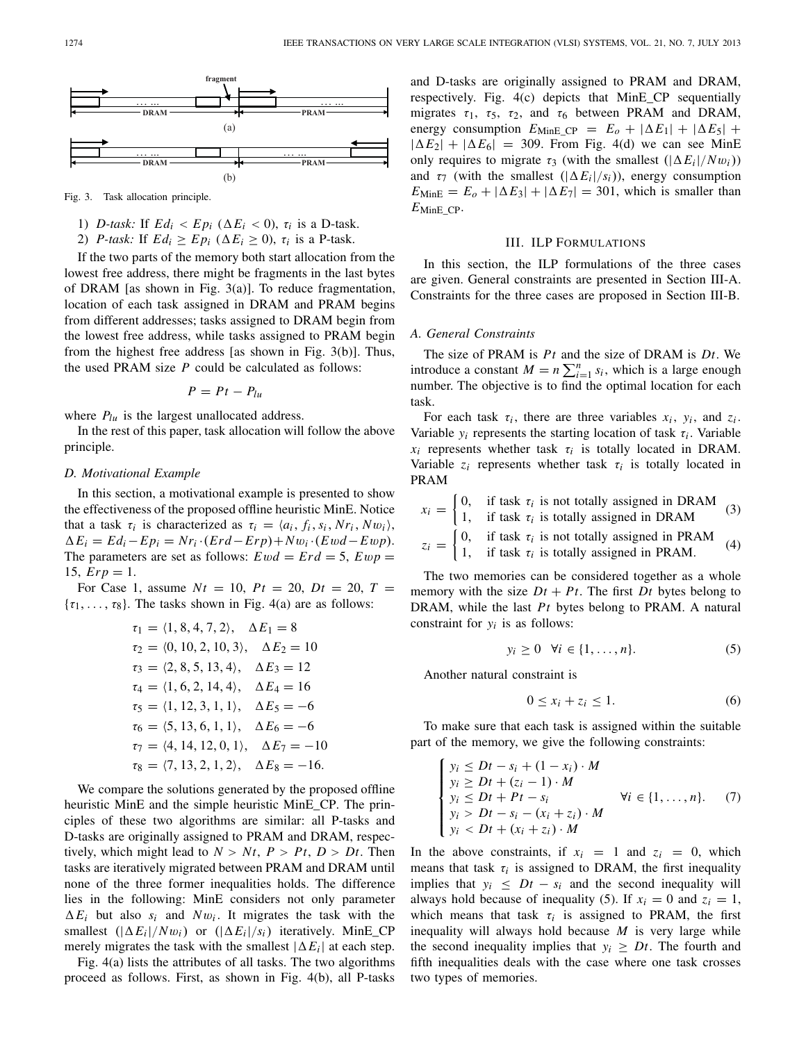

Fig. 3. Task allocation principle.

- 1) *D-task:* If  $Ed_i < Ep_i$  ( $\Delta E_i < 0$ ),  $\tau_i$  is a D-task.
- 2) *P-task:* If  $Ed_i \ge Ep_i$  ( $\Delta E_i \ge 0$ ),  $\tau_i$  is a P-task.

If the two parts of the memory both start allocation from the lowest free address, there might be fragments in the last bytes of DRAM [as shown in Fig. 3(a)]. To reduce fragmentation, location of each task assigned in DRAM and PRAM begins from different addresses; tasks assigned to DRAM begin from the lowest free address, while tasks assigned to PRAM begin from the highest free address [as shown in Fig. 3(b)]. Thus, the used PRAM size *P* could be calculated as follows:

$$
P = Pt - P_{lu}
$$

where  $P_{lu}$  is the largest unallocated address.

In the rest of this paper, task allocation will follow the above principle.

#### *D. Motivational Example*

In this section, a motivational example is presented to show the effectiveness of the proposed offline heuristic MinE. Notice that a task  $\tau_i$  is characterized as  $\tau_i = \langle a_i, f_i, s_i, Nr_i, Nw_i \rangle$ ,  $\Delta E_i = Ed_i - Ep_i = Nr_i \cdot (Erd - Erp) + Nw_i \cdot (Ewd - Ewp).$ The parameters are set as follows:  $Ewd = Erd = 5$ ,  $Ewp =$ 15,  $Erp = 1$ .

For Case 1, assume  $Nt = 10$ ,  $Pt = 20$ ,  $Dt = 20$ ,  $T =$  $\{\tau_1,\ldots,\tau_8\}$ . The tasks shown in Fig. 4(a) are as follows:

$$
\tau_1 = \langle 1, 8, 4, 7, 2 \rangle, \quad \Delta E_1 = 8
$$
  
\n
$$
\tau_2 = \langle 0, 10, 2, 10, 3 \rangle, \quad \Delta E_2 = 10
$$
  
\n
$$
\tau_3 = \langle 2, 8, 5, 13, 4 \rangle, \quad \Delta E_3 = 12
$$
  
\n
$$
\tau_4 = \langle 1, 6, 2, 14, 4 \rangle, \quad \Delta E_4 = 16
$$
  
\n
$$
\tau_5 = \langle 1, 12, 3, 1, 1 \rangle, \quad \Delta E_5 = -6
$$
  
\n
$$
\tau_6 = \langle 5, 13, 6, 1, 1 \rangle, \quad \Delta E_6 = -6
$$
  
\n
$$
\tau_7 = \langle 4, 14, 12, 0, 1 \rangle, \quad \Delta E_7 = -10
$$
  
\n
$$
\tau_8 = \langle 7, 13, 2, 1, 2 \rangle, \quad \Delta E_8 = -16.
$$

We compare the solutions generated by the proposed offline heuristic MinE and the simple heuristic MinE\_CP. The principles of these two algorithms are similar: all P-tasks and D-tasks are originally assigned to PRAM and DRAM, respectively, which might lead to  $N > Nt$ ,  $P > Pt$ ,  $D > Dt$ . Then tasks are iteratively migrated between PRAM and DRAM until none of the three former inequalities holds. The difference lies in the following: MinE considers not only parameter  $\Delta E_i$  but also  $s_i$  and  $Nw_i$ . It migrates the task with the smallest  $(|\Delta E_i|/Nw_i)$  or  $(|\Delta E_i|/s_i)$  iteratively. MinE\_CP merely migrates the task with the smallest  $|\Delta E_i|$  at each step.

Fig. 4(a) lists the attributes of all tasks. The two algorithms proceed as follows. First, as shown in Fig. 4(b), all P-tasks and D-tasks are originally assigned to PRAM and DRAM, respectively. Fig. 4(c) depicts that MinE\_CP sequentially migrates  $\tau_1$ ,  $\tau_5$ ,  $\tau_2$ , and  $\tau_6$  between PRAM and DRAM, energy consumption  $E_{\text{MinE\_CP}} = E_o + |\Delta E_1| + |\Delta E_5| +$  $|\Delta E_2|+|\Delta E_6| = 309$ . From Fig. 4(d) we can see MinE only requires to migrate  $\tau_3$  (with the smallest  $(|\Delta E_i|/Nw_i)$ ) and  $\tau_7$  (with the smallest  $(|\Delta E_i|/s_i)$ ), energy consumption  $E_{\text{MinE}} = E_o + |\Delta E_3| + |\Delta E_7| = 301$ , which is smaller than *E*MinE\_CP.

#### III. ILP FORMULATIONS

In this section, the ILP formulations of the three cases are given. General constraints are presented in Section III-A. Constraints for the three cases are proposed in Section III-B.

# *A. General Constraints*

The size of PRAM is *Pt* and the size of DRAM is *Dt*. We introduce a constant  $M = n \sum_{i=1}^{n} s_i$ , which is a large enough number. The objective is to find the optimal location for each task.

For each task  $\tau_i$ , there are three variables  $x_i$ ,  $y_i$ , and  $z_i$ . Variable  $y_i$  represents the starting location of task  $\tau_i$ . Variable  $x_i$  represents whether task  $\tau_i$  is totally located in DRAM. Variable  $z_i$  represents whether task  $\tau_i$  is totally located in PRAM

$$
x_i = \begin{cases} 0, & \text{if task } \tau_i \text{ is not totally assigned in DRAM} \\ 1, & \text{if task } \tau_i \text{ is totally assigned in DRAM} \end{cases} \quad (3)
$$

$$
z_i = \begin{cases} 0, & \text{if task } \tau_i \text{ is not totally assigned in PRAM} \\ 1, & \text{if task } \tau_i \text{ is totally assigned in PRAM.} \end{cases} \quad (4)
$$

The two memories can be considered together as a whole memory with the size  $Dt + Pt$ . The first  $Dt$  bytes belong to DRAM, while the last *Pt* bytes belong to PRAM. A natural constraint for  $y_i$  is as follows:

$$
y_i \ge 0 \quad \forall i \in \{1, \dots, n\}.
$$

Another natural constraint is

$$
0 \le x_i + z_i \le 1. \tag{6}
$$

To make sure that each task is assigned within the suitable part of the memory, we give the following constraints:

$$
\begin{cases}\ny_i \le Dt - s_i + (1 - x_i) \cdot M \\
y_i \ge Dt + (z_i - 1) \cdot M \\
y_i \le Dt + Pt - s_i \\
y_i > Dt - s_i - (x_i + z_i) \cdot M \\
y_i < Dt + (x_i + z_i) \cdot M\n\end{cases} \quad \forall i \in \{1, ..., n\}. \quad (7)
$$

In the above constraints, if  $x_i = 1$  and  $z_i = 0$ , which means that task  $\tau_i$  is assigned to DRAM, the first inequality implies that  $y_i \leq Dt - s_i$  and the second inequality will always hold because of inequality (5). If  $x_i = 0$  and  $z_i = 1$ , which means that task  $\tau_i$  is assigned to PRAM, the first inequality will always hold because *M* is very large while the second inequality implies that  $y_i \geq Dt$ . The fourth and fifth inequalities deals with the case where one task crosses two types of memories.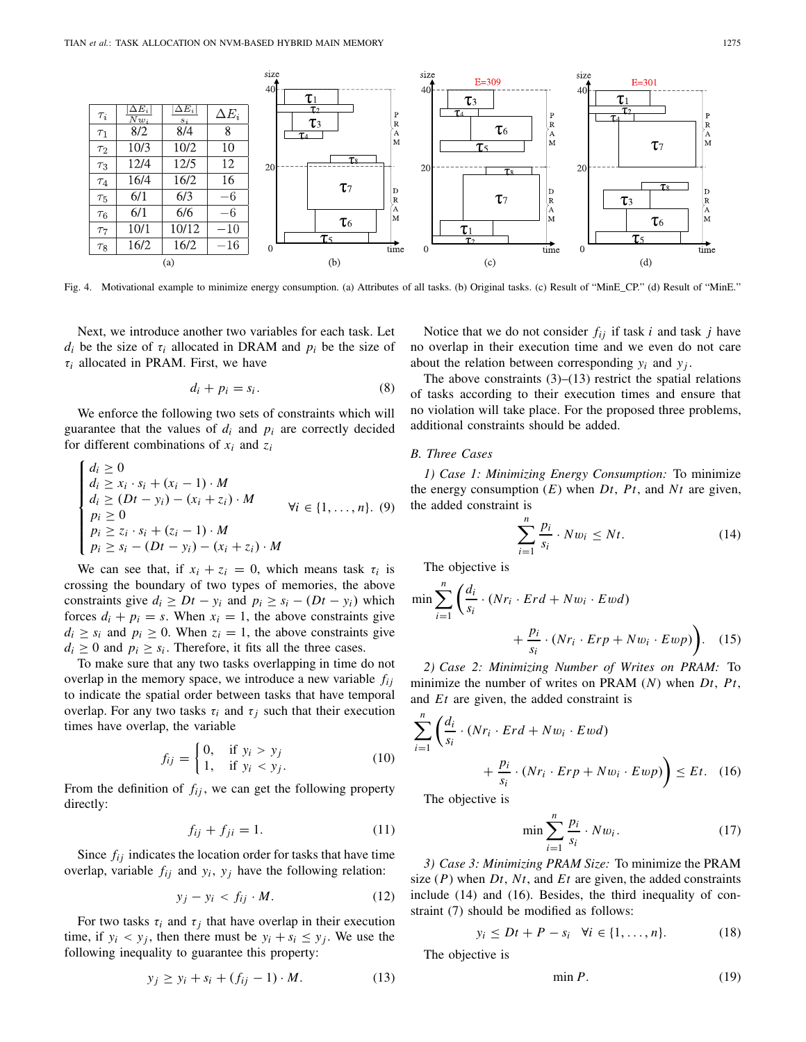

Fig. 4. Motivational example to minimize energy consumption. (a) Attributes of all tasks. (b) Original tasks. (c) Result of "MinE\_CP." (d) Result of "MinE."

Next, we introduce another two variables for each task. Let  $d_i$  be the size of  $\tau_i$  allocated in DRAM and  $p_i$  be the size of  $\tau_i$  allocated in PRAM. First, we have

$$
d_i + p_i = s_i. \tag{8}
$$

We enforce the following two sets of constraints which will guarantee that the values of  $d_i$  and  $p_i$  are correctly decided for different combinations of *xi* and *zi*

$$
\begin{cases}\nd_i \ge 0 \\
d_i \ge x_i \cdot s_i + (x_i - 1) \cdot M \\
d_i \ge (Dt - y_i) - (x_i + z_i) \cdot M \\
p_i \ge 0 \\
p_i \ge z_i \cdot s_i + (z_i - 1) \cdot M \\
p_i \ge s_i - (Dt - y_i) - (x_i + z_i) \cdot M\n\end{cases} \quad \forall i \in \{1, \ldots, n\}. \tag{9}
$$

We can see that, if  $x_i + z_i = 0$ , which means task  $\tau_i$  is crossing the boundary of two types of memories, the above constraints give  $d_i \ge Dt - y_i$  and  $p_i \ge s_i - (Dt - y_i)$  which forces  $d_i + p_i = s$ . When  $x_i = 1$ , the above constraints give  $d_i \geq s_i$  and  $p_i \geq 0$ . When  $z_i = 1$ , the above constraints give  $d_i \geq 0$  and  $p_i \geq s_i$ . Therefore, it fits all the three cases.

To make sure that any two tasks overlapping in time do not overlap in the memory space, we introduce a new variable *fij* to indicate the spatial order between tasks that have temporal overlap. For any two tasks  $\tau_i$  and  $\tau_j$  such that their execution times have overlap, the variable

$$
f_{ij} = \begin{cases} 0, & \text{if } y_i > y_j \\ 1, & \text{if } y_i < y_j. \end{cases}
$$
 (10)

From the definition of  $f_{ij}$ , we can get the following property directly:

$$
f_{ij} + f_{ji} = 1.
$$
 (11)

Since *fij* indicates the location order for tasks that have time overlap, variable  $f_{ij}$  and  $y_i$ ,  $y_j$  have the following relation:

$$
y_j - y_i < f_{ij} \cdot M. \tag{12}
$$

For two tasks  $\tau_i$  and  $\tau_j$  that have overlap in their execution time, if  $y_i < y_j$ , then there must be  $y_i + s_i \leq y_j$ . We use the following inequality to guarantee this property:

$$
y_j \ge y_i + s_i + (f_{ij} - 1) \cdot M. \tag{13}
$$

Notice that we do not consider  $f_{ij}$  if task *i* and task *j* have no overlap in their execution time and we even do not care about the relation between corresponding  $y_i$  and  $y_j$ .

The above constraints  $(3)$ – $(13)$  restrict the spatial relations of tasks according to their execution times and ensure that no violation will take place. For the proposed three problems, additional constraints should be added.

# *B. Three Cases*

*1) Case 1: Minimizing Energy Consumption:* To minimize the energy consumption  $(E)$  when  $Dt$ ,  $Pt$ , and  $Nt$  are given, the added constraint is

$$
\sum_{i=1}^{n} \frac{p_i}{s_i} \cdot N w_i \le Nt. \tag{14}
$$

The objective is

$$
\min \sum_{i=1}^{n} \left( \frac{d_i}{s_i} \cdot (Nr_i \cdot Erd + Nw_i \cdot Ewd) + \frac{p_i}{s_i} \cdot (Nr_i \cdot Erp + Nw_i \cdot Ewp) \right). \tag{15}
$$

*2) Case 2: Minimizing Number of Writes on PRAM:* To minimize the number of writes on PRAM (*N*) when *Dt*, *Pt*, and *Et* are given, the added constraint is

$$
\sum_{i=1}^{n} \left( \frac{d_i}{s_i} \cdot (Nr_i \cdot Erd + Nw_i \cdot Ewd) + \frac{p_i}{s_i} \cdot (Nr_i \cdot Erp + Nw_i \cdot Ewp) \right) \le Et. \quad (16)
$$

The objective is

$$
\min \sum_{i=1}^{n} \frac{p_i}{s_i} \cdot N w_i. \tag{17}
$$

*3) Case 3: Minimizing PRAM Size:* To minimize the PRAM size (*P*) when *Dt*, *Nt*, and *Et* are given, the added constraints include (14) and (16). Besides, the third inequality of constraint (7) should be modified as follows:

$$
y_i \le Dt + P - s_i \quad \forall i \in \{1, \dots, n\}.
$$
 (18)

The objective is

$$
\min P. \tag{19}
$$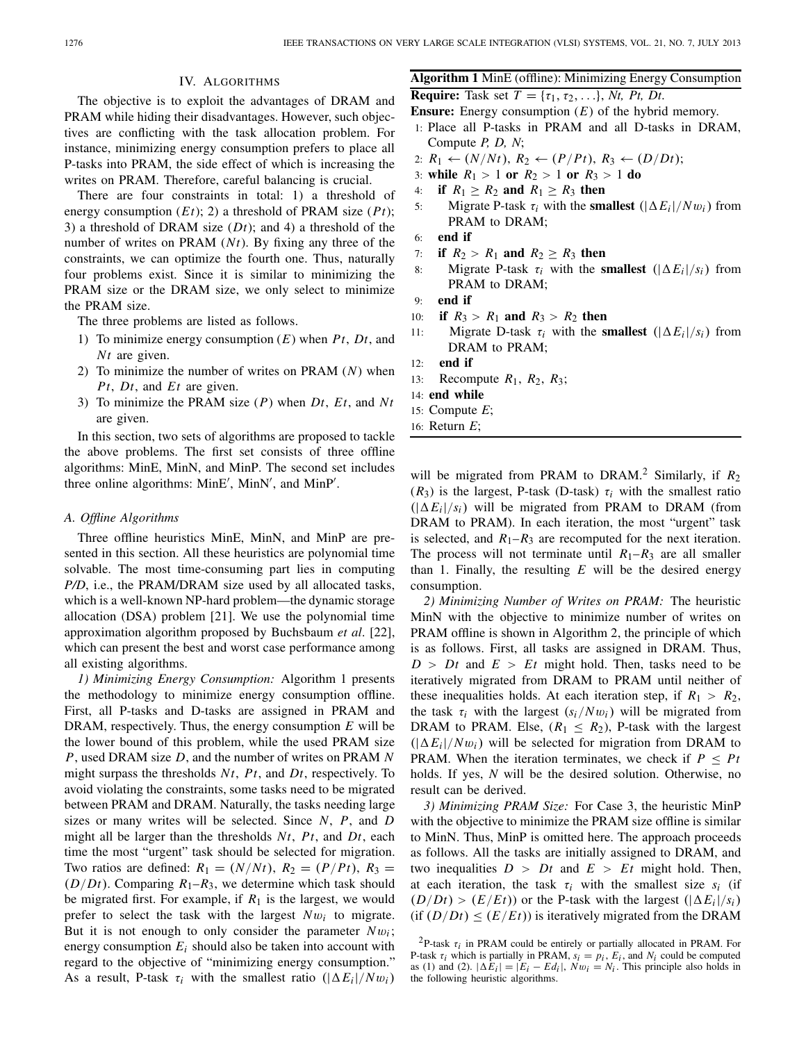# IV. ALGORITHMS

The objective is to exploit the advantages of DRAM and PRAM while hiding their disadvantages. However, such objectives are conflicting with the task allocation problem. For instance, minimizing energy consumption prefers to place all P-tasks into PRAM, the side effect of which is increasing the writes on PRAM. Therefore, careful balancing is crucial.

There are four constraints in total: 1) a threshold of energy consumption (*Et*); 2) a threshold of PRAM size (*Pt*); 3) a threshold of DRAM size (*Dt*); and 4) a threshold of the number of writes on PRAM (*Nt*). By fixing any three of the constraints, we can optimize the fourth one. Thus, naturally four problems exist. Since it is similar to minimizing the PRAM size or the DRAM size, we only select to minimize the PRAM size.

The three problems are listed as follows.

- 1) To minimize energy consumption (*E*) when *Pt*, *Dt*, and *Nt* are given.
- 2) To minimize the number of writes on PRAM (*N*) when *Pt*, *Dt*, and *Et* are given.
- 3) To minimize the PRAM size (*P*) when *Dt*, *Et*, and *Nt* are given.

In this section, two sets of algorithms are proposed to tackle the above problems. The first set consists of three offline algorithms: MinE, MinN, and MinP. The second set includes three online algorithms: MinE', MinN', and MinP'.

#### *A. Offline Algorithms*

Three offline heuristics MinE, MinN, and MinP are presented in this section. All these heuristics are polynomial time solvable. The most time-consuming part lies in computing *P/D*, i.e., the PRAM/DRAM size used by all allocated tasks, which is a well-known NP-hard problem—the dynamic storage allocation (DSA) problem [21]. We use the polynomial time approximation algorithm proposed by Buchsbaum *et al*. [22], which can present the best and worst case performance among all existing algorithms.

*1) Minimizing Energy Consumption:* Algorithm 1 presents the methodology to minimize energy consumption offline. First, all P-tasks and D-tasks are assigned in PRAM and DRAM, respectively. Thus, the energy consumption *E* will be the lower bound of this problem, while the used PRAM size *P*, used DRAM size *D*, and the number of writes on PRAM *N* might surpass the thresholds *Nt*, *Pt*, and *Dt*, respectively. To avoid violating the constraints, some tasks need to be migrated between PRAM and DRAM. Naturally, the tasks needing large sizes or many writes will be selected. Since *N*, *P*, and *D* might all be larger than the thresholds *Nt*, *Pt*, and *Dt*, each time the most "urgent" task should be selected for migration. Two ratios are defined:  $R_1 = (N/Nt)$ ,  $R_2 = (P/Pt)$ ,  $R_3 =$  $(D/Dt)$ . Comparing  $R_1-R_3$ , we determine which task should be migrated first. For example, if  $R_1$  is the largest, we would prefer to select the task with the largest  $Nw_i$  to migrate. But it is not enough to only consider the parameter  $Nw_i$ ; energy consumption  $E_i$  should also be taken into account with regard to the objective of "minimizing energy consumption." As a result, P-task  $\tau_i$  with the smallest ratio  $(|\Delta E_i|/Nw_i)$ 

# **Algorithm 1** MinE (offline): Minimizing Energy Consumption **Require:** Task set  $T = \{\tau_1, \tau_2, ...\}$ , *Nt, Pt, Dt.*

- **Ensure:** Energy consumption (*E*) of the hybrid memory.
- 1: Place all P-tasks in PRAM and all D-tasks in DRAM, Compute *P, D, N*;
- 2: *R*<sub>1</sub> ←  $(N/Nt)$ , *R*<sub>2</sub> ←  $(P/Pt)$ , *R*<sub>3</sub> ←  $(D/Dt)$ ;
- 3: **while**  $R_1 > 1$  or  $R_2 > 1$  or  $R_3 > 1$  do
- 4: **if**  $R_1 \geq R_2$  **and**  $R_1 \geq R_3$  **then**
- 5: Migrate P-task  $\tau_i$  with the **smallest**  $(|\Delta E_i|/Nw_i)$  from PRAM to DRAM;

- 7: **if**  $R_2 > R_1$  **and**  $R_2 \ge R_3$  **then**
- 8: Migrate P-task  $\tau_i$  with the **smallest**  $(|\Delta E_i|/s_i)$  from PRAM to DRAM;

9: **end if**

- 10: **if**  $R_3 > R_1$  **and**  $R_3 > R_2$  **then**
- 11: Migrate D-task  $\tau_i$  with the **smallest**  $(|\Delta E_i|/s_i)$  from DRAM to PRAM;
- 12: **end if**
- 13: Recompute *R*1, *R*2, *R*3;
- 14: **end while**
- 15: Compute *E*;
- 16: Return *E*;

will be migrated from PRAM to DRAM.<sup>2</sup> Similarly, if  $R_2$ ( $R_3$ ) is the largest, P-task (D-task)  $\tau_i$  with the smallest ratio  $(|\Delta E_i|/s_i)$  will be migrated from PRAM to DRAM (from DRAM to PRAM). In each iteration, the most "urgent" task is selected, and  $R_1 - R_3$  are recomputed for the next iteration. The process will not terminate until  $R_1 - R_3$  are all smaller than 1. Finally, the resulting  $E$  will be the desired energy consumption.

*2) Minimizing Number of Writes on PRAM:* The heuristic MinN with the objective to minimize number of writes on PRAM offline is shown in Algorithm 2, the principle of which is as follows. First, all tasks are assigned in DRAM. Thus,  $D > Dt$  and  $E > Et$  might hold. Then, tasks need to be iteratively migrated from DRAM to PRAM until neither of these inequalities holds. At each iteration step, if  $R_1 > R_2$ , the task  $\tau_i$  with the largest  $(s_i/Nw_i)$  will be migrated from DRAM to PRAM. Else,  $(R_1 \leq R_2)$ , P-task with the largest  $(|\Delta E_i|/Nw_i)$  will be selected for migration from DRAM to PRAM. When the iteration terminates, we check if  $P \leq Pt$ holds. If yes, *N* will be the desired solution. Otherwise, no result can be derived.

*3) Minimizing PRAM Size:* For Case 3, the heuristic MinP with the objective to minimize the PRAM size offline is similar to MinN. Thus, MinP is omitted here. The approach proceeds as follows. All the tasks are initially assigned to DRAM, and two inequalities  $D > Dt$  and  $E > Et$  might hold. Then, at each iteration, the task  $\tau_i$  with the smallest size  $s_i$  (if  $(D/Dt)$  >  $(E/Et)$  or the P-task with the largest  $(|\Delta E_i|/s_i)$ (if  $(D/Dt) \leq (E/Et)$ ) is iteratively migrated from the DRAM

<sup>6:</sup> **end if**

<sup>&</sup>lt;sup>2</sup>P-task  $\tau_i$  in PRAM could be entirely or partially allocated in PRAM. For P-task  $\tau_i$  which is partially in PRAM,  $s_i = p_i$ ,  $E_i$ , and  $N_i$  could be computed as (1) and (2).  $|\Delta E_i| = |E_i - Ed_i|$ ,  $Nw_i = N_i$ . This principle also holds in the following heuristic algorithms.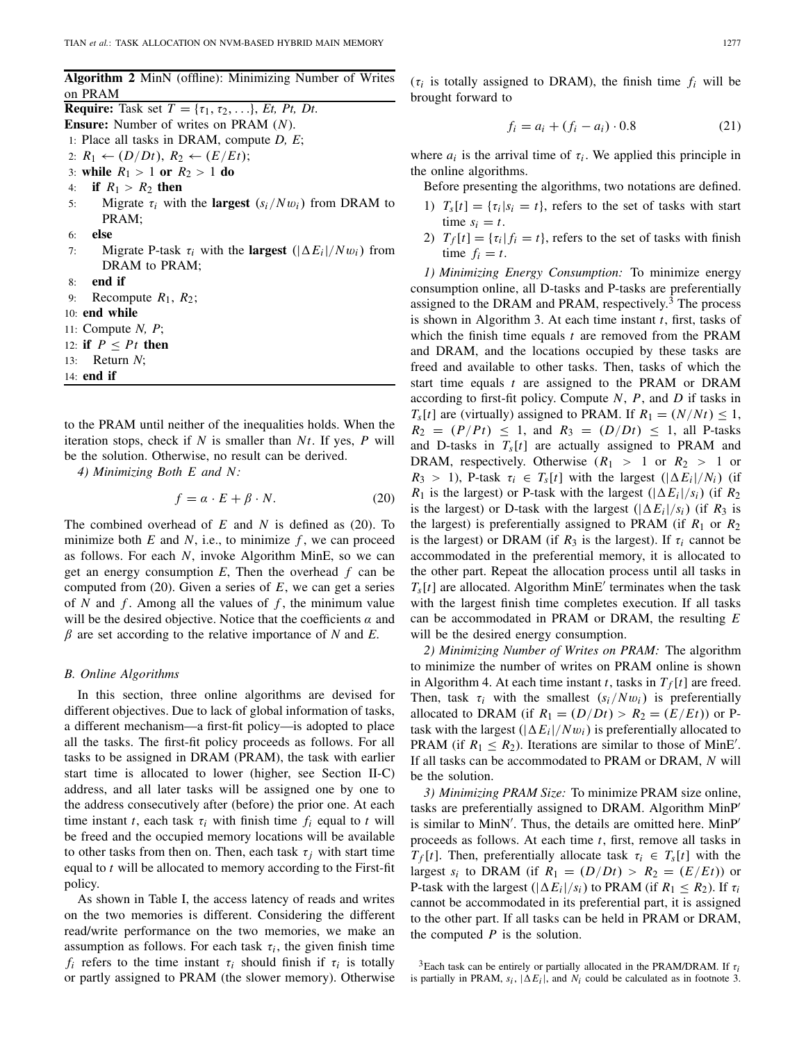**Algorithm 2** MinN (offline): Minimizing Number of Writes on PRAM **Require:** Task set  $T = \{\tau_1, \tau_2, ...\}$ , *Et, Pt, Dt.* **Ensure:** Number of writes on PRAM (*N*). 1: Place all tasks in DRAM, compute *D, E*; 2:  $R_1$  ← (*D*/*Dt*),  $R_2$  ← (*E*/*Et*); 3: **while** *R*<sup>1</sup> > 1 **or** *R*<sup>2</sup> > 1 **do** 4: **if**  $R_1 > R_2$  **then** 5: Migrate  $\tau_i$  with the **largest**  $(s_i/Nw_i)$  from DRAM to PRAM; 6: **else** 7: Migrate P-task  $\tau_i$  with the **largest**  $(|\Delta E_i|/Nw_i)$  from DRAM to PRAM; 8: **end if** 9: Recompute *R*1, *R*2; 10: **end while** 11: Compute *N, P*; 12: **if**  $P \leq Pt$  **then** 13: Return *N*; 14: **end if**

to the PRAM until neither of the inequalities holds. When the iteration stops, check if *N* is smaller than *Nt*. If yes, *P* will be the solution. Otherwise, no result can be derived.

*4) Minimizing Both E and N:*

$$
f = \alpha \cdot E + \beta \cdot N. \tag{20}
$$

The combined overhead of *E* and *N* is defined as (20). To minimize both  $E$  and  $N$ , i.e., to minimize  $f$ , we can proceed as follows. For each *N*, invoke Algorithm MinE, so we can get an energy consumption *E*, Then the overhead *f* can be computed from (20). Given a series of *E*, we can get a series of *N* and *f* . Among all the values of *f* , the minimum value will be the desired objective. Notice that the coefficients  $\alpha$  and  $\beta$  are set according to the relative importance of *N* and *E*.

# *B. Online Algorithms*

In this section, three online algorithms are devised for different objectives. Due to lack of global information of tasks, a different mechanism—a first-fit policy—is adopted to place all the tasks. The first-fit policy proceeds as follows. For all tasks to be assigned in DRAM (PRAM), the task with earlier start time is allocated to lower (higher, see Section II-C) address, and all later tasks will be assigned one by one to the address consecutively after (before) the prior one. At each time instant *t*, each task  $\tau_i$  with finish time  $f_i$  equal to *t* will be freed and the occupied memory locations will be available to other tasks from then on. Then, each task  $\tau_i$  with start time equal to *t* will be allocated to memory according to the First-fit policy.

As shown in Table I, the access latency of reads and writes on the two memories is different. Considering the different read/write performance on the two memories, we make an assumption as follows. For each task  $\tau_i$ , the given finish time *f<sub>i</sub>* refers to the time instant  $\tau_i$  should finish if  $\tau_i$  is totally or partly assigned to PRAM (the slower memory). Otherwise  $(\tau_i$  is totally assigned to DRAM), the finish time  $f_i$  will be brought forward to

$$
f_i = a_i + (f_i - a_i) \cdot 0.8 \tag{21}
$$

where  $a_i$  is the arrival time of  $\tau_i$ . We applied this principle in the online algorithms.

Before presenting the algorithms, two notations are defined.

- 1)  $T_s[t] = {\tau_i | s_i = t}$ , refers to the set of tasks with start time  $s_i = t$ .
- 2)  $T_f[t] = {\tau_i | f_i = t}$ , refers to the set of tasks with finish time  $f_i = t$ .

*1) Minimizing Energy Consumption:* To minimize energy consumption online, all D-tasks and P-tasks are preferentially assigned to the DRAM and PRAM, respectively.<sup>3</sup> The process is shown in Algorithm 3. At each time instant *t*, first, tasks of which the finish time equals *t* are removed from the PRAM and DRAM, and the locations occupied by these tasks are freed and available to other tasks. Then, tasks of which the start time equals *t* are assigned to the PRAM or DRAM according to first-fit policy. Compute *N*, *P*, and *D* if tasks in  $T_s[t]$  are (virtually) assigned to PRAM. If  $R_1 = (N/Nt) \le 1$ ,  $R_2 = (P/Pt) \le 1$ , and  $R_3 = (D/Dt) \le 1$ , all P-tasks and D-tasks in  $T_s[t]$  are actually assigned to PRAM and DRAM, respectively. Otherwise  $(R_1 > 1 \text{ or } R_2 > 1 \text{ or } R_3$  $R_3 > 1$ ), P-task  $\tau_i \in T_s[t]$  with the largest  $(|\Delta E_i|/N_i)$  (if  $R_1$  is the largest) or P-task with the largest ( $|\Delta E_i|/s_i$ ) (if  $R_2$ ) is the largest) or D-task with the largest  $(|\Delta E_i|/s_i)$  (if  $R_3$  is the largest) is preferentially assigned to PRAM (if  $R_1$  or  $R_2$ ) is the largest) or DRAM (if  $R_3$  is the largest). If  $\tau_i$  cannot be accommodated in the preferential memory, it is allocated to the other part. Repeat the allocation process until all tasks in  $T_s[t]$  are allocated. Algorithm MinE' terminates when the task with the largest finish time completes execution. If all tasks can be accommodated in PRAM or DRAM, the resulting *E* will be the desired energy consumption.

*2) Minimizing Number of Writes on PRAM:* The algorithm to minimize the number of writes on PRAM online is shown in Algorithm 4. At each time instant *t*, tasks in  $T_f[t]$  are freed. Then, task  $\tau_i$  with the smallest  $(s_i/Nw_i)$  is preferentially allocated to DRAM (if  $R_1 = (D/Dt) > R_2 = (E/Et)$ ) or Ptask with the largest  $(|\Delta E_i|/Nw_i)$  is preferentially allocated to PRAM (if  $R_1 \le R_2$ ). Iterations are similar to those of MinE'. If all tasks can be accommodated to PRAM or DRAM, *N* will be the solution.

*3) Minimizing PRAM Size:* To minimize PRAM size online, tasks are preferentially assigned to DRAM. Algorithm MinP is similar to MinN'. Thus, the details are omitted here. MinP' proceeds as follows. At each time *t*, first, remove all tasks in *T<sub>f</sub>*[*t*]. Then, preferentially allocate task  $\tau_i \in T_s[t]$  with the largest  $s_i$  to DRAM (if  $R_1 = (D/Dt) > R_2 = (E/Et)$ ) or P-task with the largest  $(|\Delta E_i|/s_i)$  to PRAM (if  $R_1 \le R_2$ ). If  $\tau_i$ cannot be accommodated in its preferential part, it is assigned to the other part. If all tasks can be held in PRAM or DRAM, the computed  $P$  is the solution.

<sup>3</sup>Each task can be entirely or partially allocated in the PRAM/DRAM. If  $\tau_i$ is partially in PRAM,  $s_i$ ,  $|\Delta E_i|$ , and  $N_i$  could be calculated as in footnote 3.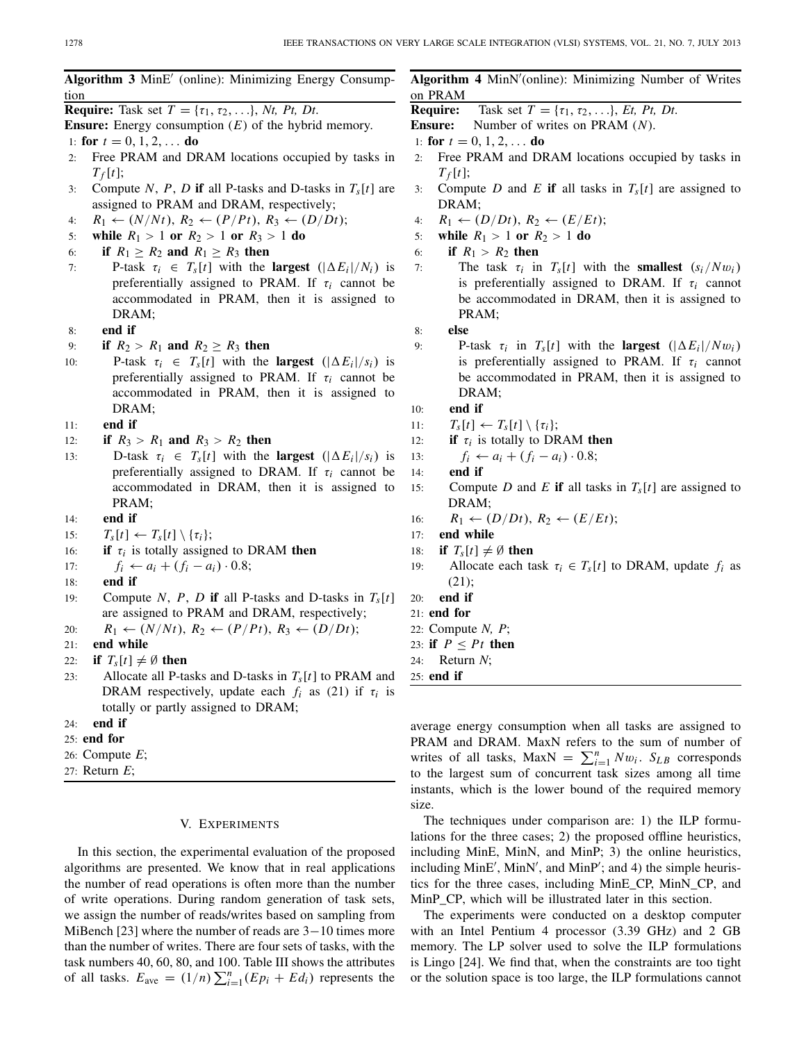Algorithm 3 MinE' (online): Minimizing Energy Consumption

**Require:** Task set  $T = \{\tau_1, \tau_2, ...\}$ , *Nt, Pt, Dt.* 

**Ensure:** Energy consumption (*E*) of the hybrid memory. 1: **for**  $t = 0, 1, 2, \ldots$  **do** 

- 2: Free PRAM and DRAM locations occupied by tasks in  $T_f[t]$ ;
- 3: Compute *N*, *P*, *D* **if** all P-tasks and D-tasks in  $T_s[t]$  are assigned to PRAM and DRAM, respectively;
- 4:  $R_1 \leftarrow (N/Nt), R_2 \leftarrow (P/Pt), R_3 \leftarrow (D/Dt);$
- 5: **while**  $R_1 > 1$  or  $R_2 > 1$  or  $R_3 > 1$  do
- 6: **if**  $R_1 \geq R_2$  and  $R_1 \geq R_3$  then
- 7: P-task  $\tau_i \in T_s[t]$  with the **largest**  $(|\Delta E_i|/N_i)$  is preferentially assigned to PRAM. If  $\tau_i$  cannot be accommodated in PRAM, then it is assigned to DRAM;
- 8: **end if**
- 9: **if**  $R_2 > R_1$  **and**  $R_2 \ge R_3$  **then**
- 10: P-task  $\tau_i \in T_s[t]$  with the **largest**  $(|\Delta E_i|/s_i)$  is preferentially assigned to PRAM. If  $\tau_i$  cannot be accommodated in PRAM, then it is assigned to DRAM;
- 11: **end if**
- 12: **if**  $R_3 > R_1$  **and**  $R_3 > R_2$  **then**
- 13: D-task  $\tau_i \in T_s[t]$  with the **largest**  $(|\Delta E_i|/s_i)$  is preferentially assigned to DRAM. If  $\tau_i$  cannot be accommodated in DRAM, then it is assigned to PRAM;
- 14: **end if**
- 15:  $T_s[t] \leftarrow T_s[t] \setminus \{\tau_i\};$
- 16: **if** τ*<sup>i</sup>* is totally assigned to DRAM **then**
- 17:  $f_i \leftarrow a_i + (f_i a_i) \cdot 0.8;$
- 18: **end if**
- 19: Compute *N*, *P*, *D* **if** all P-tasks and D-tasks in  $T_s[t]$ are assigned to PRAM and DRAM, respectively;
- 20:  $R_1 \leftarrow (N/Nt), R_2 \leftarrow (P/Pt), R_3 \leftarrow (D/Dt);$
- 21: **end while**
- 22: **if**  $T_s[t] \neq \emptyset$  then
- 23: Allocate all P-tasks and D-tasks in *Ts*[*t*] to PRAM and DRAM respectively, update each  $f_i$  as (21) if  $\tau_i$  is totally or partly assigned to DRAM;
- 24: **end if**
- 25: **end for**
- 26: Compute *E*;
- 27: Return *E*;

# V. EXPERIMENTS

In this section, the experimental evaluation of the proposed algorithms are presented. We know that in real applications the number of read operations is often more than the number of write operations. During random generation of task sets, we assign the number of reads/writes based on sampling from MiBench [23] where the number of reads are 3−10 times more than the number of writes. There are four sets of tasks, with the task numbers 40, 60, 80, and 100. Table III shows the attributes of all tasks.  $E_{\text{ave}} = (1/n) \sum_{i=1}^{n} (E p_i + E d_i)$  represents the

Algorithm 4 MinN<sup>'</sup>(online): Minimizing Number of Writes on PRAM

**Require:** Task set  $T = \{\tau_1, \tau_2, ...\}$ , *Et, Pt, Dt.* 

- **Ensure:** Number of writes on PRAM (*N*).
- 1: **for**  $t = 0, 1, 2, \ldots$  **do**
- 2: Free PRAM and DRAM locations occupied by tasks in  $T_f[t]$ ;
- 3: Compute *D* and *E* if all tasks in  $T_s[t]$  are assigned to DRAM;
- 4:  $R_1 \leftarrow (D/Dt), R_2 \leftarrow (E/Et);$
- 5: **while**  $R_1 > 1$  **or**  $R_2 > 1$  **do**
- 6: **if**  $R_1 > R_2$  **then**
- 7: The task  $\tau_i$  in  $T_s[t]$  with the **smallest**  $(s_i/Nw_i)$ is preferentially assigned to DRAM. If  $\tau_i$  cannot be accommodated in DRAM, then it is assigned to PRAM;
- 8: **else**
- 9: P-task  $\tau_i$  in  $T_s[t]$  with the **largest**  $(|\Delta E_i|/Nw_i)$ is preferentially assigned to PRAM. If  $\tau_i$  cannot be accommodated in PRAM, then it is assigned to DRAM;
- 10: **end if**
- 11:  $T_s[t] \leftarrow T_s[t] \setminus \{\tau_i\};$
- 12: **if**  $\tau_i$  is totally to DRAM **then**
- 13:  $f_i \leftarrow a_i + (f_i a_i) \cdot 0.8;$
- 14: **end if**
- 15: Compute *D* and *E* **if** all tasks in  $T_s[t]$  are assigned to DRAM;
- 16:  $R_1 \leftarrow (D/Dt), R_2 \leftarrow (E/Et);$
- 17: **end while**
- 18: **if**  $T_s[t] \neq \emptyset$  then
- 19: Allocate each task  $\tau_i \in T_s[t]$  to DRAM, update  $f_i$  as (21);
- 20: **end if**
- 21: **end for**
- 22: Compute *N, P*;
- 23: **if**  $P \leq Pt$  **then**
- 24: Return *N*;
- 25: **end if**

average energy consumption when all tasks are assigned to PRAM and DRAM. MaxN refers to the sum of number of writes of all tasks, Max $N = \sum_{i=1}^{n} N w_i$ .  $S_{LB}$  corresponds to the largest sum of concurrent task sizes among all time instants, which is the lower bound of the required memory size.

The techniques under comparison are: 1) the ILP formulations for the three cases; 2) the proposed offline heuristics, including MinE, MinN, and MinP; 3) the online heuristics, including MinE', MinN', and MinP'; and 4) the simple heuristics for the three cases, including MinE\_CP, MinN\_CP, and MinP CP, which will be illustrated later in this section.

The experiments were conducted on a desktop computer with an Intel Pentium 4 processor (3.39 GHz) and 2 GB memory. The LP solver used to solve the ILP formulations is Lingo [24]. We find that, when the constraints are too tight or the solution space is too large, the ILP formulations cannot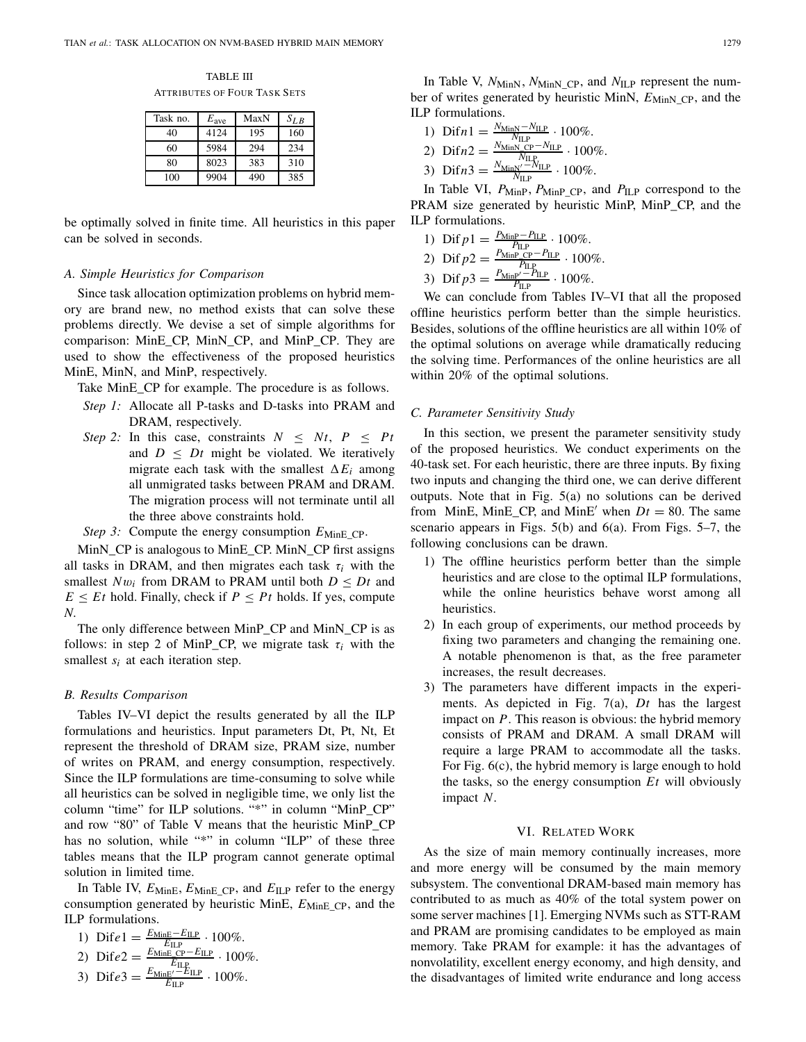TABLE III ATTRIBUTES OF FOUR TASK SETS

| Task no. | $E_{\text{ave}}$ | MaxN | $S_{LB}$ |
|----------|------------------|------|----------|
| 40       | 4124             | 195  | 160      |
| 60       | 5984             | 294  | 234      |
| 80       | 8023             | 383  | 310      |
| 100      | 9904             | 490  | 385      |

be optimally solved in finite time. All heuristics in this paper can be solved in seconds.

# *A. Simple Heuristics for Comparison*

Since task allocation optimization problems on hybrid memory are brand new, no method exists that can solve these problems directly. We devise a set of simple algorithms for comparison: MinE\_CP, MinN\_CP, and MinP\_CP. They are used to show the effectiveness of the proposed heuristics MinE, MinN, and MinP, respectively.

Take MinE\_CP for example. The procedure is as follows.

- *Step 1:* Allocate all P-tasks and D-tasks into PRAM and DRAM, respectively.
- *Step 2:* In this case, constraints  $N \leq Nt$ ,  $P \leq Pt$ and  $D \leq Dt$  might be violated. We iteratively migrate each task with the smallest  $\Delta E_i$  among all unmigrated tasks between PRAM and DRAM. The migration process will not terminate until all the three above constraints hold.
- *Step 3:* Compute the energy consumption  $E_{\text{MinE}}$  cp.

MinN\_CP is analogous to MinE\_CP. MinN\_CP first assigns all tasks in DRAM, and then migrates each task  $\tau_i$  with the smallest  $Nw_i$  from DRAM to PRAM until both  $D \leq Dt$  and  $E \leq Et$  hold. Finally, check if  $P \leq Pt$  holds. If yes, compute *N*.

The only difference between MinP\_CP and MinN\_CP is as follows: in step 2 of MinP<sub>CP</sub>, we migrate task  $\tau_i$  with the smallest  $s_i$  at each iteration step.

#### *B. Results Comparison*

Tables IV–VI depict the results generated by all the ILP formulations and heuristics. Input parameters Dt, Pt, Nt, Et represent the threshold of DRAM size, PRAM size, number of writes on PRAM, and energy consumption, respectively. Since the ILP formulations are time-consuming to solve while all heuristics can be solved in negligible time, we only list the column "time" for ILP solutions. "\*" in column "MinP\_CP" and row "80" of Table V means that the heuristic MinP\_CP has no solution, while "\*" in column "ILP" of these three tables means that the ILP program cannot generate optimal solution in limited time.

In Table IV,  $E_{\text{MinE}}$ ,  $E_{\text{MinE}_\text{C}}$ , and  $E_{\text{ILP}}$  refer to the energy consumption generated by heuristic MinE,  $E_{\text{MinE_CPP}}$ , and the ILP formulations.

1) 
$$
\text{Dife1} = \frac{E_{\text{MinE}} - E_{\text{ILP}}}{E_{\text{ILP}}} \cdot 100\%.
$$
  
2)  $\text{Dife2} = \frac{E_{\text{MinE}} - E_{\text{ILP}}}{E_{\text{ILP}}}\cdot 100\%.$ 

3) 
$$
\text{Dife3} = \frac{E_{\text{MinE}} - E_{\text{ILP}}}{E_{\text{ILP}}} \cdot 100\%.
$$

In Table V,  $N_{\text{MinN}}$ ,  $N_{\text{MinN\_CP}}$ , and  $N_{\text{ILP}}$  represent the number of writes generated by heuristic MinN,  $E_{\text{MinN\_CP}}$ , and the ILP formulations.

1) 
$$
\text{Diff} \, n1 = \frac{N_{\text{MinN}} - N_{\text{ILP}}}{N_{\text{ILP}}} \cdot 100\%.
$$

2) 
$$
\text{Diff}n2 = \frac{N_{\text{Min}}\sum_{\text{CP}}-N_{\text{ILP}}}{N_{\text{ILP}}} \cdot 100\%.
$$

3) Dif $n3 = \frac{N_{\text{MinN}} - N_{\text{ILP}}}{N_{\text{ILP}}} \cdot 100\%$ .

In Table VI, *P<sub>MinP</sub>*, *P<sub>MinP</sub>* cp, and *P*<sub>ILP</sub> correspond to the PRAM size generated by heuristic MinP, MinP\_CP, and the ILP formulations.

1) 
$$
\text{Diff } p1 = \frac{P_{\text{MinP}} - P_{\text{ILP}}}{P_{\text{ILP}}} \cdot 100\%.
$$

2) 
$$
\text{Diff } p2 = \frac{P_{\text{MinP}} - P_{\text{ILP}}}{P_{\text{ILR}}} \cdot 100\%
$$
.

3) 
$$
\text{Diff } p3 = \frac{P_{\text{MinP}} - P_{\text{ILP}}}{P_{\text{ILP}}} \cdot 100\%.
$$

We can conclude from Tables IV–VI that all the proposed offline heuristics perform better than the simple heuristics. Besides, solutions of the offline heuristics are all within 10% of the optimal solutions on average while dramatically reducing the solving time. Performances of the online heuristics are all within 20% of the optimal solutions.

# *C. Parameter Sensitivity Study*

In this section, we present the parameter sensitivity study of the proposed heuristics. We conduct experiments on the 40-task set. For each heuristic, there are three inputs. By fixing two inputs and changing the third one, we can derive different outputs. Note that in Fig. 5(a) no solutions can be derived from MinE, MinE\_CP, and MinE' when  $Dt = 80$ . The same scenario appears in Figs. 5(b) and 6(a). From Figs. 5–7, the following conclusions can be drawn.

- 1) The offline heuristics perform better than the simple heuristics and are close to the optimal ILP formulations, while the online heuristics behave worst among all heuristics.
- 2) In each group of experiments, our method proceeds by fixing two parameters and changing the remaining one. A notable phenomenon is that, as the free parameter increases, the result decreases.
- 3) The parameters have different impacts in the experiments. As depicted in Fig. 7(a), *Dt* has the largest impact on *P*. This reason is obvious: the hybrid memory consists of PRAM and DRAM. A small DRAM will require a large PRAM to accommodate all the tasks. For Fig. 6(c), the hybrid memory is large enough to hold the tasks, so the energy consumption *Et* will obviously impact *N*.

#### VI. RELATED WORK

As the size of main memory continually increases, more and more energy will be consumed by the main memory subsystem. The conventional DRAM-based main memory has contributed to as much as 40% of the total system power on some server machines [1]. Emerging NVMs such as STT-RAM and PRAM are promising candidates to be employed as main memory. Take PRAM for example: it has the advantages of nonvolatility, excellent energy economy, and high density, and the disadvantages of limited write endurance and long access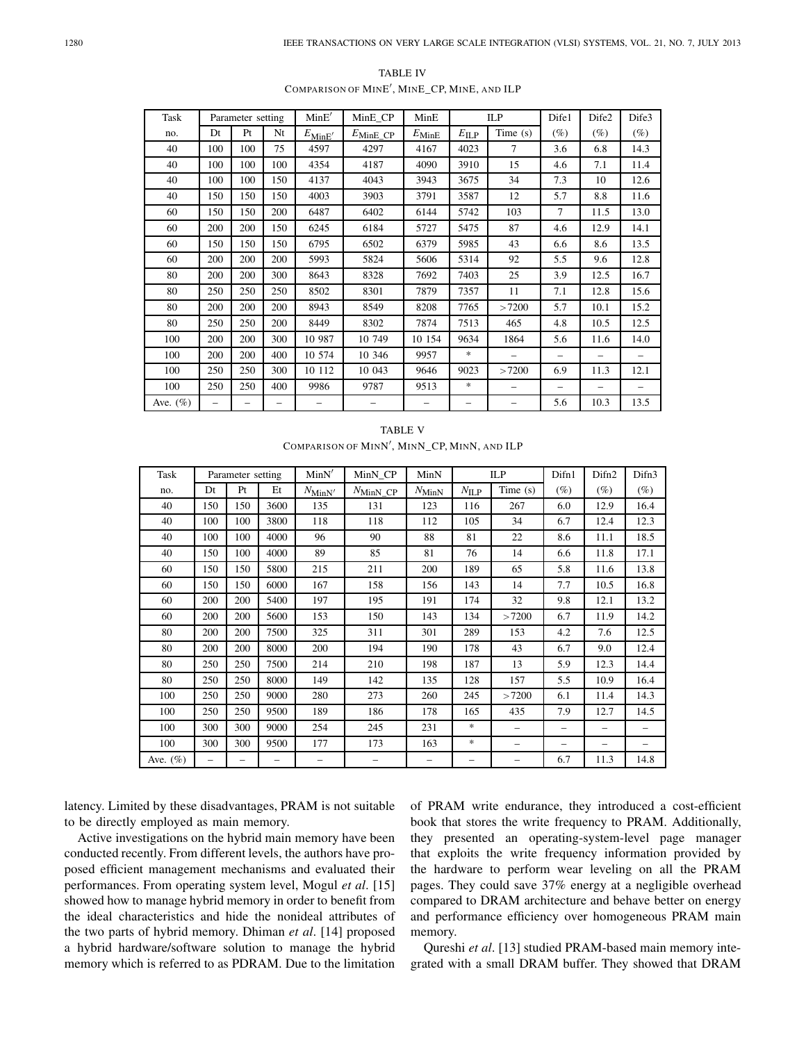| Task         |                          | Parameter setting |     | MinE'            | MinE_CP                  | MinE              |               | <b>ILP</b>               | Dife1                    | Dife2 | Dife3                    |
|--------------|--------------------------|-------------------|-----|------------------|--------------------------|-------------------|---------------|--------------------------|--------------------------|-------|--------------------------|
| no.          | Dt                       | Pt                | Nt  | $E_{\rm{MinE'}}$ | $E_{\text{MinE}_C}$ CP   | $E_{\text{MinE}}$ | $E_{\rm ILP}$ | Time $(s)$               | $(\%)$                   | (%)   | (%)                      |
| 40           | 100                      | 100               | 75  | 4597             | 4297                     | 4167              | 4023          | 7                        | 3.6                      | 6.8   | 14.3                     |
| 40           | 100                      | 100               | 100 | 4354             | 4187                     | 4090              | 3910          | 15                       | 4.6                      | 7.1   | 11.4                     |
| 40           | 100                      | 100               | 150 | 4137             | 4043                     | 3943              | 3675          | 34                       | 7.3                      | 10    | 12.6                     |
| 40           | 150                      | 150               | 150 | 4003             | 3903                     | 3791              | 3587          | 12                       | 5.7                      | 8.8   | 11.6                     |
| 60           | 150                      | 150               | 200 | 6487             | 6402                     | 6144              | 5742          | 103                      | $\overline{7}$           | 11.5  | 13.0                     |
| 60           | 200                      | 200               | 150 | 6245             | 6184                     | 5727              | 5475          | 87                       | 4.6                      | 12.9  | 14.1                     |
| 60           | 150                      | 150               | 150 | 6795             | 6502                     | 6379              | 5985          | 43                       | 6.6                      | 8.6   | 13.5                     |
| 60           | 200                      | 200               | 200 | 5993             | 5824                     | 5606              | 5314          | 92                       | 5.5                      | 9.6   | 12.8                     |
| 80           | 200                      | 200               | 300 | 8643             | 8328                     | 7692              | 7403          | 25                       | 3.9                      | 12.5  | 16.7                     |
| 80           | 250                      | 250               | 250 | 8502             | 8301                     | 7879              | 7357          | 11                       | 7.1                      | 12.8  | 15.6                     |
| 80           | 200                      | 200               | 200 | 8943             | 8549                     | 8208              | 7765          | >7200                    | 5.7                      | 10.1  | 15.2                     |
| 80           | 250                      | 250               | 200 | 8449             | 8302                     | 7874              | 7513          | 465                      | 4.8                      | 10.5  | 12.5                     |
| 100          | 200                      | 200               | 300 | 10 987           | 10 749                   | 10 154            | 9634          | 1864                     | 5.6                      | 11.6  | 14.0                     |
| 100          | 200                      | 200               | 400 | 10 574           | 10 346                   | 9957              | $\ast$        | $\overline{\phantom{0}}$ | $\overline{\phantom{0}}$ |       |                          |
| 100          | 250                      | 250               | 300 | 10 112           | 10 043                   | 9646              | 9023          | >7200                    | 6.9                      | 11.3  | 12.1                     |
| 100          | 250                      | 250               | 400 | 9986             | 9787                     | 9513              | *             | $\overline{\phantom{0}}$ | $\overline{\phantom{0}}$ |       | $\overline{\phantom{0}}$ |
| Ave. $(\% )$ | $\overline{\phantom{0}}$ |                   |     | -                | $\overline{\phantom{0}}$ |                   |               | -                        | 5.6                      | 10.3  | 13.5                     |

TABLE IV COMPARISON OF MINE', MINE\_CP, MINE, AND ILP

TABLE V COMPARISON OF MINN', MINN\_CP, MINN, AND ILP

| Task         |     | Parameter setting |      | MinN'              | MinN CP               | MinN              | <b>ILP</b>       |            | Difn1                    | Difn2  | Difn3 |
|--------------|-----|-------------------|------|--------------------|-----------------------|-------------------|------------------|------------|--------------------------|--------|-------|
| no.          | Dt  | Pt                | Et   | $N_{\text{MinN}'}$ | $N_{\text{MinN\_CP}}$ | $N_{\text{MinN}}$ | $N_{\text{ILP}}$ | Time $(s)$ | $(\%)$                   | $(\%)$ | (%)   |
| 40           | 150 | 150               | 3600 | 135                | 131                   | 123               | 116              | 267        | 6.0                      | 12.9   | 16.4  |
| 40           | 100 | 100               | 3800 | 118                | 118                   | 112               | 105              | 34         | 6.7                      | 12.4   | 12.3  |
| 40           | 100 | 100               | 4000 | 96                 | 90                    | 88                | 81               | 22         | 8.6                      | 11.1   | 18.5  |
| 40           | 150 | 100               | 4000 | 89                 | 85                    | 81                | 76               | 14         | 6.6                      | 11.8   | 17.1  |
| 60           | 150 | 150               | 5800 | 215                | 211                   | 200               | 189              | 65         | 5.8                      | 11.6   | 13.8  |
| 60           | 150 | 150               | 6000 | 167                | 158                   | 156               | 143              | 14         | 7.7                      | 10.5   | 16.8  |
| 60           | 200 | 200               | 5400 | 197                | 195                   | 191               | 174              | 32         | 9.8                      | 12.1   | 13.2  |
| 60           | 200 | 200               | 5600 | 153                | 150                   | 143               | 134              | >7200      | 6.7                      | 11.9   | 14.2  |
| 80           | 200 | 200               | 7500 | 325                | 311                   | 301               | 289              | 153        | 4.2                      | 7.6    | 12.5  |
| 80           | 200 | 200               | 8000 | 200                | 194                   | 190               | 178              | 43         | 6.7                      | 9.0    | 12.4  |
| 80           | 250 | 250               | 7500 | 214                | 210                   | 198               | 187              | 13         | 5.9                      | 12.3   | 14.4  |
| 80           | 250 | 250               | 8000 | 149                | 142                   | 135               | 128              | 157        | 5.5                      | 10.9   | 16.4  |
| 100          | 250 | 250               | 9000 | 280                | 273                   | 260               | 245              | >7200      | 6.1                      | 11.4   | 14.3  |
| 100          | 250 | 250               | 9500 | 189                | 186                   | 178               | 165              | 435        | 7.9                      | 12.7   | 14.5  |
| 100          | 300 | 300               | 9000 | 254                | 245                   | 231               | $\ast$           |            |                          |        |       |
| 100          | 300 | 300               | 9500 | 177                | 173                   | 163               | $\frac{1}{2}$    |            | $\overline{\phantom{0}}$ | -      |       |
| Ave. $(\% )$ | -   |                   |      | -                  |                       |                   |                  |            | 6.7                      | 11.3   | 14.8  |

latency. Limited by these disadvantages, PRAM is not suitable to be directly employed as main memory.

Active investigations on the hybrid main memory have been conducted recently. From different levels, the authors have proposed efficient management mechanisms and evaluated their performances. From operating system level, Mogul *et al*. [15] showed how to manage hybrid memory in order to benefit from the ideal characteristics and hide the nonideal attributes of the two parts of hybrid memory. Dhiman *et al*. [14] proposed a hybrid hardware/software solution to manage the hybrid memory which is referred to as PDRAM. Due to the limitation

of PRAM write endurance, they introduced a cost-efficient book that stores the write frequency to PRAM. Additionally, they presented an operating-system-level page manager that exploits the write frequency information provided by the hardware to perform wear leveling on all the PRAM pages. They could save 37% energy at a negligible overhead compared to DRAM architecture and behave better on energy and performance efficiency over homogeneous PRAM main memory.

Qureshi *et al*. [13] studied PRAM-based main memory integrated with a small DRAM buffer. They showed that DRAM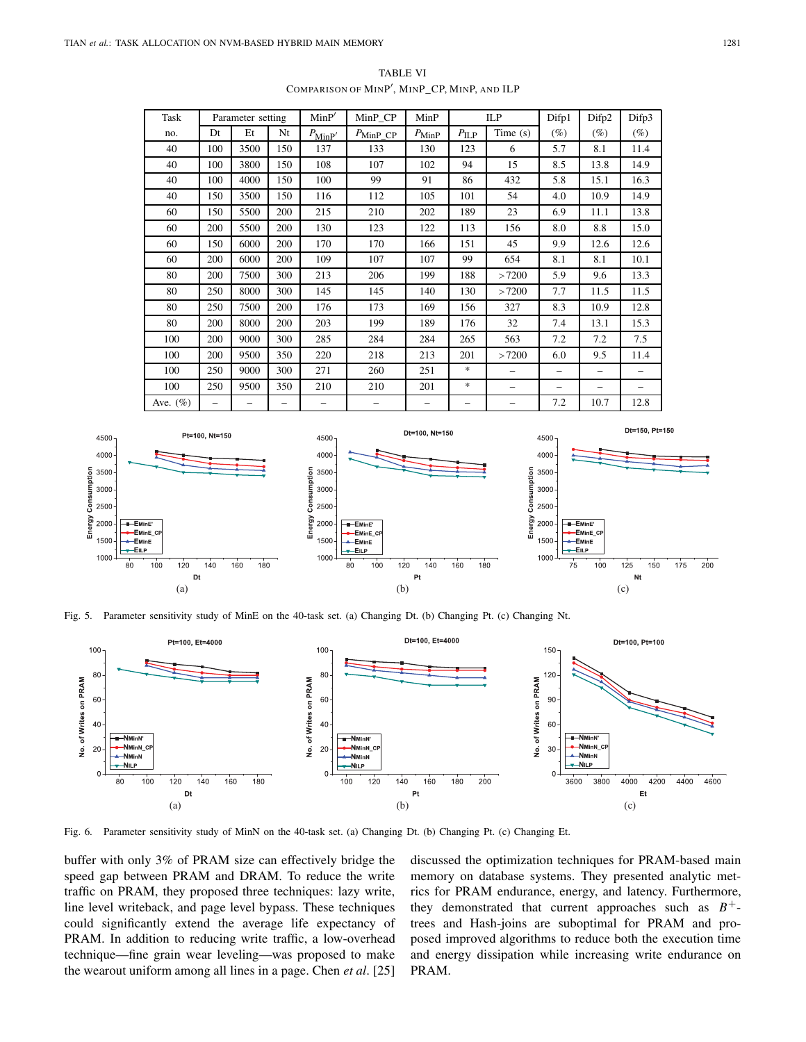| Task         |     | Parameter setting |     | MinP'              | MinP_CP               | MinP              | <b>ILP</b>       |            | Difp1                    | Difp2                    | Difp3  |
|--------------|-----|-------------------|-----|--------------------|-----------------------|-------------------|------------------|------------|--------------------------|--------------------------|--------|
| no.          | Dt  | Et                | Nt  | $P_{\text{MinP}'}$ | $P_{\text{MinP\_CP}}$ | $P_{\text{MinP}}$ | $P_{\text{ILP}}$ | Time $(s)$ | (%)                      | (%)                      | $(\%)$ |
| 40           | 100 | 3500              | 150 | 137                | 133                   | 130               | 123              | 6          | 5.7                      | 8.1                      | 11.4   |
| 40           | 100 | 3800              | 150 | 108                | 107                   | 102               | 94               | 15         | 8.5                      | 13.8                     | 14.9   |
| 40           | 100 | 4000              | 150 | 100                | 99                    | 91                | 86               | 432        | 5.8                      | 15.1                     | 16.3   |
| 40           | 150 | 3500              | 150 | 116                | 112                   | 105               | 101              | 54         | 4.0                      | 10.9                     | 14.9   |
| 60           | 150 | 5500              | 200 | 215                | 210                   | 202               | 189              | 23         | 6.9                      | 11.1                     | 13.8   |
| 60           | 200 | 5500              | 200 | 130                | 123                   | 122               | 113              | 156        | 8.0                      | 8.8                      | 15.0   |
| 60           | 150 | 6000              | 200 | 170                | 170                   | 166               | 151              | 45         | 9.9                      | 12.6                     | 12.6   |
| 60           | 200 | 6000              | 200 | 109                | 107                   | 107               | 99               | 654        | 8.1                      | 8.1                      | 10.1   |
| 80           | 200 | 7500              | 300 | 213                | 206                   | 199               | 188              | >7200      | 5.9                      | 9.6                      | 13.3   |
| 80           | 250 | 8000              | 300 | 145                | 145                   | 140               | 130              | >7200      | 7.7                      | 11.5                     | 11.5   |
| 80           | 250 | 7500              | 200 | 176                | 173                   | 169               | 156              | 327        | 8.3                      | 10.9                     | 12.8   |
| 80           | 200 | 8000              | 200 | 203                | 199                   | 189               | 176              | 32         | 7.4                      | 13.1                     | 15.3   |
| 100          | 200 | 9000              | 300 | 285                | 284                   | 284               | 265              | 563        | 7.2                      | 7.2                      | 7.5    |
| 100          | 200 | 9500              | 350 | 220                | 218                   | 213               | 201              | >7200      | 6.0                      | 9.5                      | 11.4   |
| 100          | 250 | 9000              | 300 | 271                | 260                   | 251               | $\ast$           |            | $\overline{\phantom{0}}$ | -                        |        |
| 100          | 250 | 9500              | 350 | 210                | 210                   | 201               | $*$              | -          | $\overline{\phantom{0}}$ | $\overline{\phantom{0}}$ |        |
| Ave. $(\% )$ | -   | -                 | -   | -                  | -                     | $\qquad \qquad -$ | -                | -          | 7.2                      | 10.7                     | 12.8   |

TABLE VI COMPARISON OF MINP', MINP\_CP, MINP, AND ILP



Fig. 5. Parameter sensitivity study of MinE on the 40-task set. (a) Changing Dt. (b) Changing Pt. (c) Changing Nt.



Fig. 6. Parameter sensitivity study of MinN on the 40-task set. (a) Changing Dt. (b) Changing Pt. (c) Changing Et.

buffer with only 3% of PRAM size can effectively bridge the speed gap between PRAM and DRAM. To reduce the write traffic on PRAM, they proposed three techniques: lazy write, line level writeback, and page level bypass. These techniques could significantly extend the average life expectancy of PRAM. In addition to reducing write traffic, a low-overhead technique—fine grain wear leveling—was proposed to make the wearout uniform among all lines in a page. Chen *et al*. [25] discussed the optimization techniques for PRAM-based main memory on database systems. They presented analytic metrics for PRAM endurance, energy, and latency. Furthermore, they demonstrated that current approaches such as  $B^+$ trees and Hash-joins are suboptimal for PRAM and proposed improved algorithms to reduce both the execution time and energy dissipation while increasing write endurance on PRAM.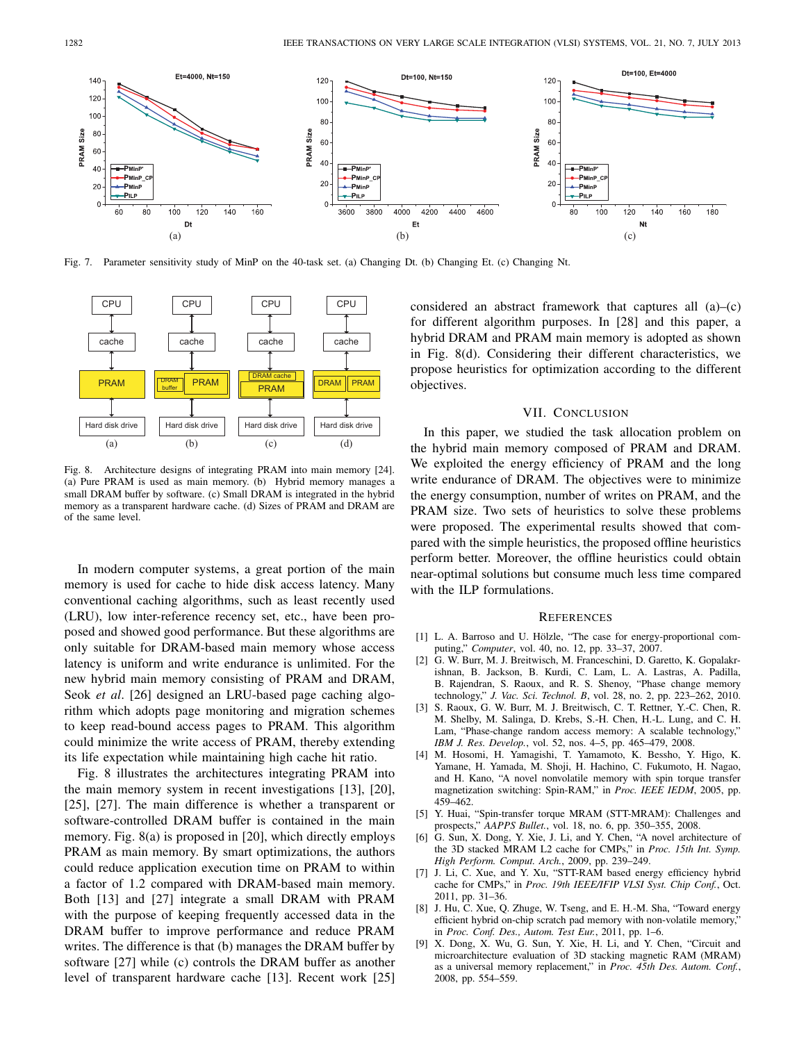

Fig. 7. Parameter sensitivity study of MinP on the 40-task set. (a) Changing Dt. (b) Changing Et. (c) Changing Nt.



Fig. 8. Architecture designs of integrating PRAM into main memory [24]. (a) Pure PRAM is used as main memory. (b) Hybrid memory manages a small DRAM buffer by software. (c) Small DRAM is integrated in the hybrid memory as a transparent hardware cache. (d) Sizes of PRAM and DRAM are of the same level.

In modern computer systems, a great portion of the main memory is used for cache to hide disk access latency. Many conventional caching algorithms, such as least recently used (LRU), low inter-reference recency set, etc., have been proposed and showed good performance. But these algorithms are only suitable for DRAM-based main memory whose access latency is uniform and write endurance is unlimited. For the new hybrid main memory consisting of PRAM and DRAM, Seok *et al*. [26] designed an LRU-based page caching algorithm which adopts page monitoring and migration schemes to keep read-bound access pages to PRAM. This algorithm could minimize the write access of PRAM, thereby extending its life expectation while maintaining high cache hit ratio.

Fig. 8 illustrates the architectures integrating PRAM into the main memory system in recent investigations [13], [20], [25], [27]. The main difference is whether a transparent or software-controlled DRAM buffer is contained in the main memory. Fig. 8(a) is proposed in [20], which directly employs PRAM as main memory. By smart optimizations, the authors could reduce application execution time on PRAM to within a factor of 1.2 compared with DRAM-based main memory. Both [13] and [27] integrate a small DRAM with PRAM with the purpose of keeping frequently accessed data in the DRAM buffer to improve performance and reduce PRAM writes. The difference is that (b) manages the DRAM buffer by software [27] while (c) controls the DRAM buffer as another level of transparent hardware cache [13]. Recent work [25]

considered an abstract framework that captures all (a)–(c) for different algorithm purposes. In [28] and this paper, a hybrid DRAM and PRAM main memory is adopted as shown in Fig. 8(d). Considering their different characteristics, we propose heuristics for optimization according to the different objectives.

# VII. CONCLUSION

In this paper, we studied the task allocation problem on the hybrid main memory composed of PRAM and DRAM. We exploited the energy efficiency of PRAM and the long write endurance of DRAM. The objectives were to minimize the energy consumption, number of writes on PRAM, and the PRAM size. Two sets of heuristics to solve these problems were proposed. The experimental results showed that compared with the simple heuristics, the proposed offline heuristics perform better. Moreover, the offline heuristics could obtain near-optimal solutions but consume much less time compared with the ILP formulations.

#### **REFERENCES**

- [1] L. A. Barroso and U. Hölzle, "The case for energy-proportional computing," *Computer*, vol. 40, no. 12, pp. 33–37, 2007.
- [2] G. W. Burr, M. J. Breitwisch, M. Franceschini, D. Garetto, K. Gopalakrishnan, B. Jackson, B. Kurdi, C. Lam, L. A. Lastras, A. Padilla, B. Rajendran, S. Raoux, and R. S. Shenoy, "Phase change memory technology," *J. Vac. Sci. Technol. B*, vol. 28, no. 2, pp. 223–262, 2010.
- [3] S. Raoux, G. W. Burr, M. J. Breitwisch, C. T. Rettner, Y.-C. Chen, R. M. Shelby, M. Salinga, D. Krebs, S.-H. Chen, H.-L. Lung, and C. H. Lam, "Phase-change random access memory: A scalable technology," *IBM J. Res. Develop.*, vol. 52, nos. 4–5, pp. 465–479, 2008.
- [4] M. Hosomi, H. Yamagishi, T. Yamamoto, K. Bessho, Y. Higo, K. Yamane, H. Yamada, M. Shoji, H. Hachino, C. Fukumoto, H. Nagao, and H. Kano, "A novel nonvolatile memory with spin torque transfer magnetization switching: Spin-RAM," in *Proc. IEEE IEDM*, 2005, pp. 459–462.
- [5] Y. Huai, "Spin-transfer torque MRAM (STT-MRAM): Challenges and prospects," *AAPPS Bullet.*, vol. 18, no. 6, pp. 350–355, 2008.
- [6] G. Sun, X. Dong, Y. Xie, J. Li, and Y. Chen, "A novel architecture of the 3D stacked MRAM L2 cache for CMPs," in *Proc. 15th Int. Symp. High Perform. Comput. Arch.*, 2009, pp. 239–249.
- [7] J. Li, C. Xue, and Y. Xu, "STT-RAM based energy efficiency hybrid cache for CMPs," in *Proc. 19th IEEE/IFIP VLSI Syst. Chip Conf.*, Oct. 2011, pp. 31–36.
- [8] J. Hu, C. Xue, Q. Zhuge, W. Tseng, and E. H.-M. Sha, "Toward energy efficient hybrid on-chip scratch pad memory with non-volatile memory,' in *Proc. Conf. Des., Autom. Test Eur.*, 2011, pp. 1–6.
- [9] X. Dong, X. Wu, G. Sun, Y. Xie, H. Li, and Y. Chen, "Circuit and microarchitecture evaluation of 3D stacking magnetic RAM (MRAM) as a universal memory replacement," in *Proc. 45th Des. Autom. Conf.*, 2008, pp. 554–559.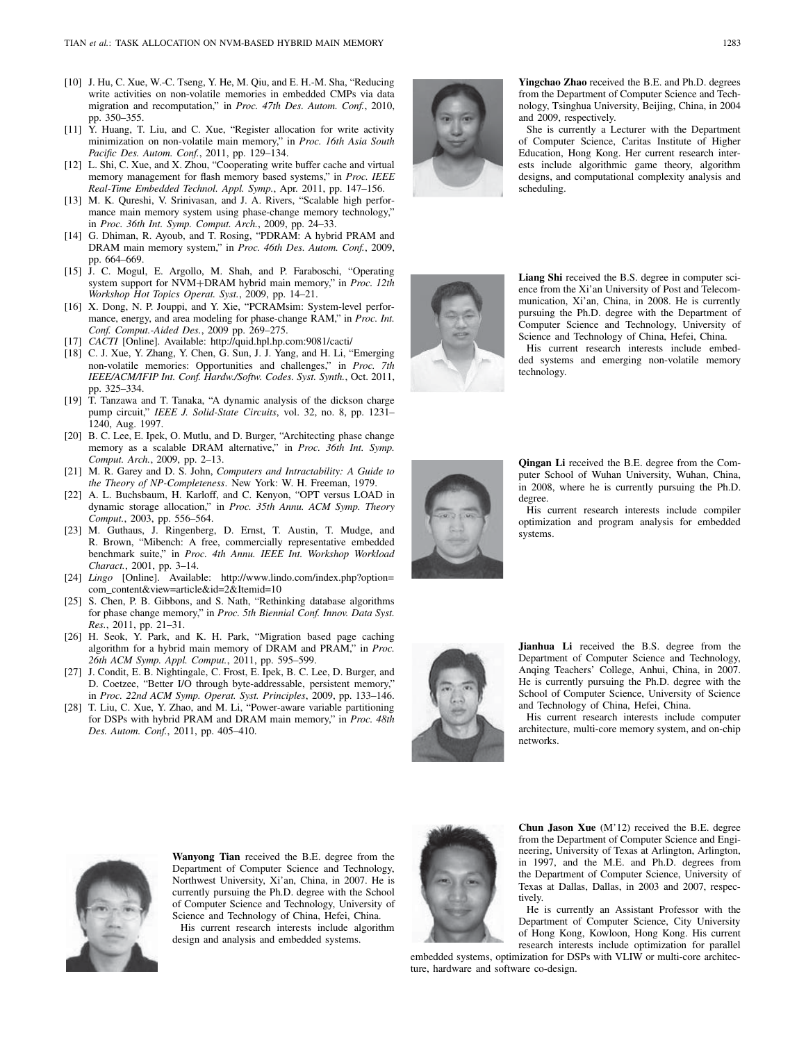- [10] J. Hu, C. Xue, W.-C. Tseng, Y. He, M. Qiu, and E. H.-M. Sha, "Reducing write activities on non-volatile memories in embedded CMPs via data migration and recomputation," in *Proc. 47th Des. Autom. Conf.*, 2010, pp. 350–355.
- [11] Y. Huang, T. Liu, and C. Xue, "Register allocation for write activity minimization on non-volatile main memory," in *Proc. 16th Asia South Pacific Des. Autom. Conf.*, 2011, pp. 129–134.
- [12] L. Shi, C. Xue, and X. Zhou, "Cooperating write buffer cache and virtual memory management for flash memory based systems," in *Proc. IEEE Real-Time Embedded Technol. Appl. Symp.*, Apr. 2011, pp. 147–156.
- [13] M. K. Qureshi, V. Srinivasan, and J. A. Rivers, "Scalable high performance main memory system using phase-change memory technology," in *Proc. 36th Int. Symp. Comput. Arch.*, 2009, pp. 24–33.
- [14] G. Dhiman, R. Ayoub, and T. Rosing, "PDRAM: A hybrid PRAM and DRAM main memory system," in *Proc. 46th Des. Autom. Conf.*, 2009, pp. 664–669.
- [15] J. C. Mogul, E. Argollo, M. Shah, and P. Faraboschi, "Operating system support for NVM+DRAM hybrid main memory," in *Proc. 12th Workshop Hot Topics Operat. Syst.*, 2009, pp. 14–21.
- [16] X. Dong, N. P. Jouppi, and Y. Xie, "PCRAMsim: System-level performance, energy, and area modeling for phase-change RAM," in *Proc. Int. Conf. Comput.-Aided Des.*, 2009 pp. 269–275.
- [17] *CACTI* [Online]. Available: http://quid.hpl.hp.com:9081/cacti/
- [18] C. J. Xue, Y. Zhang, Y. Chen, G. Sun, J. J. Yang, and H. Li, "Emerging non-volatile memories: Opportunities and challenges," in *Proc. 7th IEEE/ACM/IFIP Int. Conf. Hardw./Softw. Codes. Syst. Synth.*, Oct. 2011, pp. 325–334.
- [19] T. Tanzawa and T. Tanaka, "A dynamic analysis of the dickson charge pump circuit," *IEEE J. Solid-State Circuits*, vol. 32, no. 8, pp. 1231– 1240, Aug. 1997.
- [20] B. C. Lee, E. Ipek, O. Mutlu, and D. Burger, "Architecting phase change memory as a scalable DRAM alternative," in *Proc. 36th Int. Symp. Comput. Arch.*, 2009, pp. 2–13.
- [21] M. R. Garey and D. S. John, *Computers and Intractability: A Guide to the Theory of NP-Completeness*. New York: W. H. Freeman, 1979.
- [22] A. L. Buchsbaum, H. Karloff, and C. Kenyon, "OPT versus LOAD in dynamic storage allocation," in *Proc. 35th Annu. ACM Symp. Theory Comput.*, 2003, pp. 556–564.
- [23] M. Guthaus, J. Ringenberg, D. Ernst, T. Austin, T. Mudge, and R. Brown, "Mibench: A free, commercially representative embedded benchmark suite," in *Proc. 4th Annu. IEEE Int. Workshop Workload Charact.*, 2001, pp. 3–14.
- [24] *Lingo* [Online]. Available: http://www.lindo.com/index.php?option= com\_content&view=article&id=2&Itemid=10
- [25] S. Chen, P. B. Gibbons, and S. Nath, "Rethinking database algorithms for phase change memory," in *Proc. 5th Biennial Conf. Innov. Data Syst. Res.*, 2011, pp. 21–31.
- [26] H. Seok, Y. Park, and K. H. Park, "Migration based page caching algorithm for a hybrid main memory of DRAM and PRAM," in *Proc. 26th ACM Symp. Appl. Comput.*, 2011, pp. 595–599.
- [27] J. Condit, E. B. Nightingale, C. Frost, E. Ipek, B. C. Lee, D. Burger, and D. Coetzee, "Better I/O through byte-addressable, persistent memory," in *Proc. 22nd ACM Symp. Operat. Syst. Principles*, 2009, pp. 133–146.
- [28] T. Liu, C. Xue, Y. Zhao, and M. Li, "Power-aware variable partitioning for DSPs with hybrid PRAM and DRAM main memory," in *Proc. 48th Des. Autom. Conf.*, 2011, pp. 405–410.



**Yingchao Zhao** received the B.E. and Ph.D. degrees from the Department of Computer Science and Technology, Tsinghua University, Beijing, China, in 2004 and 2009, respectively.

She is currently a Lecturer with the Department of Computer Science, Caritas Institute of Higher Education, Hong Kong. Her current research interests include algorithmic game theory, algorithm designs, and computational complexity analysis and scheduling.



technology.

**Liang Shi** received the B.S. degree in computer science from the Xi'an University of Post and Telecommunication, Xi'an, China, in 2008. He is currently pursuing the Ph.D. degree with the Department of Computer Science and Technology, University of Science and Technology of China, Hefei, China. His current research interests include embedded systems and emerging non-volatile memory



**Qingan Li** received the B.E. degree from the Computer School of Wuhan University, Wuhan, China, in 2008, where he is currently pursuing the Ph.D. degree.

His current research interests include compiler optimization and program analysis for embedded systems.



**Jianhua Li** received the B.S. degree from the Department of Computer Science and Technology, Anqing Teachers' College, Anhui, China, in 2007. He is currently pursuing the Ph.D. degree with the School of Computer Science, University of Science and Technology of China, Hefei, China.

His current research interests include computer architecture, multi-core memory system, and on-chip networks.



**Wanyong Tian** received the B.E. degree from the Department of Computer Science and Technology, Northwest University, Xi'an, China, in 2007. He is currently pursuing the Ph.D. degree with the School of Computer Science and Technology, University of Science and Technology of China, Hefei, China. His current research interests include algorithm

design and analysis and embedded systems.



**Chun Jason Xue** (M'12) received the B.E. degree from the Department of Computer Science and Engineering, University of Texas at Arlington, Arlington, in 1997, and the M.E. and Ph.D. degrees from the Department of Computer Science, University of Texas at Dallas, Dallas, in 2003 and 2007, respectively.

He is currently an Assistant Professor with the Department of Computer Science, City University of Hong Kong, Kowloon, Hong Kong. His current research interests include optimization for parallel

embedded systems, optimization for DSPs with VLIW or multi-core architecture, hardware and software co-design.